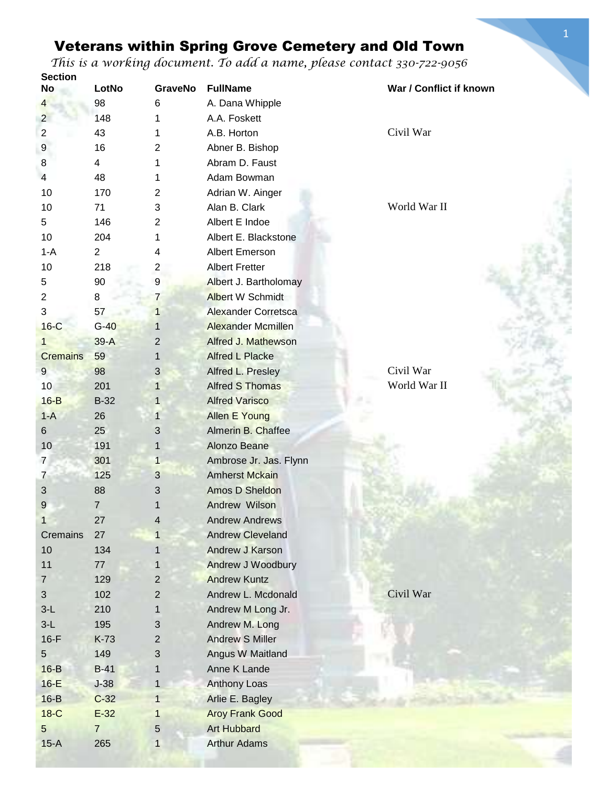| <b>Section</b>  |                |                |                            |                         |
|-----------------|----------------|----------------|----------------------------|-------------------------|
| <b>No</b>       | LotNo          | <b>GraveNo</b> | <b>FullName</b>            | War / Conflict if known |
| 4               | 98             | 6              | A. Dana Whipple            |                         |
| $\overline{2}$  | 148            | 1              | A.A. Foskett               |                         |
| $\overline{c}$  | 43             | 1              | A.B. Horton                | Civil War               |
| 9               | 16             | $\overline{2}$ | Abner B. Bishop            |                         |
| 8               | $\overline{4}$ | 1              | Abram D. Faust             |                         |
| 4               | 48             | 1              | Adam Bowman                |                         |
| 10              | 170            | $\overline{2}$ | Adrian W. Ainger           |                         |
| 10              | 71             | 3              | Alan B. Clark              | World War II            |
| 5               | 146            | 2              | Albert E Indoe             |                         |
| 10              | 204            | 1              | Albert E. Blackstone       |                         |
| $1 - A$         | $\overline{2}$ | 4              | Albert Emerson             |                         |
| 10              | 218            | $\overline{c}$ | <b>Albert Fretter</b>      |                         |
| 5               | 90             | 9              | Albert J. Bartholomay      |                         |
| $\overline{2}$  | 8              | $\overline{7}$ | <b>Albert W Schmidt</b>    |                         |
| 3               | 57             | 1              | <b>Alexander Corretsca</b> |                         |
| $16-C$          | $G-40$         | 1              | <b>Alexander Mcmillen</b>  |                         |
| 1               | $39-A$         | $\overline{c}$ | <b>Alfred J. Mathewson</b> |                         |
| <b>Cremains</b> | 59             | 1              | <b>Alfred L Placke</b>     |                         |
| 9               | 98             | 3              | Alfred L. Presley          | Civil War               |
| 10              | 201            | $\mathbf{1}$   | <b>Alfred S Thomas</b>     | World War II            |
| $16-B$          | $B-32$         | $\mathbf{1}$   | <b>Alfred Varisco</b>      |                         |
| $1-A$           | 26             | 1              | <b>Allen E Young</b>       |                         |
| 6               | 25             | 3              | <b>Almerin B. Chaffee</b>  |                         |
| 10              | 191            | 1              | Alonzo Beane               |                         |
| $\overline{7}$  | 301            | $\mathbf{1}$   | Ambrose Jr. Jas. Flynn     |                         |
| $\overline{7}$  | 125            | 3              | <b>Amherst Mckain</b>      |                         |
| 3               | 88             | 3              | <b>Amos D Sheldon</b>      |                         |
| 9               | $\overline{7}$ | 1              | Andrew Wilson              |                         |
| 1               | 27             | 4              | <b>Andrew Andrews</b>      |                         |
| Cremains        | 27             |                | <b>Andrew Cleveland</b>    |                         |
| 10              | 134            |                | Andrew J Karson            |                         |
| 11              |                |                |                            |                         |
|                 | 77             | 1              | Andrew J Woodbury          |                         |
| $\overline{7}$  | 129            | $\overline{2}$ | <b>Andrew Kuntz</b>        |                         |
| 3               | 102            | $\overline{2}$ | Andrew L. Mcdonald         | Civil War               |
| $3-L$           | 210            | 1              | Andrew M Long Jr.          |                         |
| $3-L$           | 195            | 3              | Andrew M. Long             |                         |
| $16-F$          | K-73           | 2              | <b>Andrew S Miller</b>     |                         |
| 5               | 149            | 3              | Angus W Maitland           |                         |
| $16-B$          | $B-41$         | 1              | Anne K Lande               |                         |
| $16-E$          | $J-38$         | $\mathbf{1}$   | <b>Anthony Loas</b>        |                         |
| $16-B$          | $C-32$         | $\mathbf{1}$   | Arlie E. Bagley            |                         |
| $18-C$          | $E-32$         | 1              | <b>Aroy Frank Good</b>     |                         |
| 5               | $\overline{7}$ | 5              | <b>Art Hubbard</b>         |                         |
| $15-A$          | 265            | $\mathbf{1}$   | <b>Arthur Adams</b>        |                         |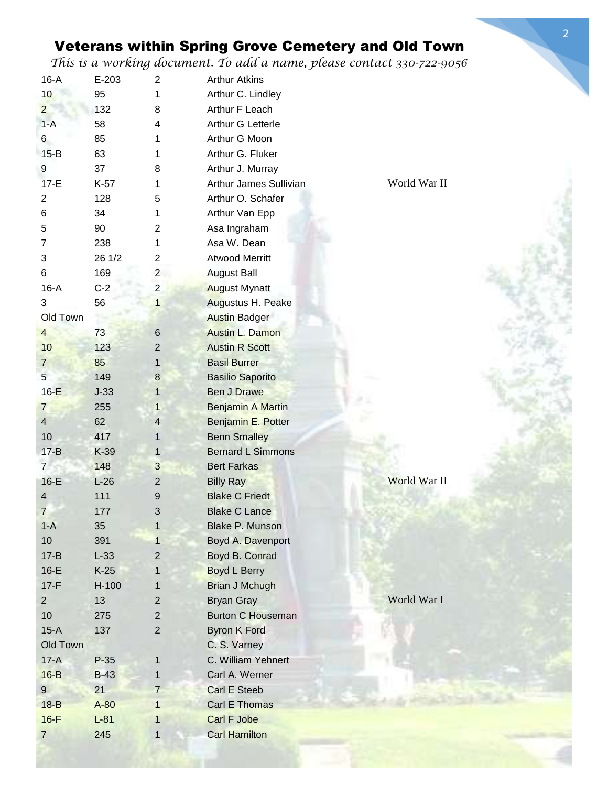2

| $16-A$          | $E-203$ | $\overline{2}$ | <b>Arthur Atkins</b>     |              |
|-----------------|---------|----------------|--------------------------|--------------|
| 10              | 95      | 1              | Arthur C. Lindley        |              |
| $\overline{2}$  | 132     | 8              | Arthur F Leach           |              |
| $1-A$           | 58      | 4              | Arthur G Letterle        |              |
| 6               | 85      | 1              | Arthur G Moon            |              |
| $15-B$          | 63      |                | Arthur G. Fluker         |              |
| 9               | 37      | 8              | Arthur J. Murray         |              |
| $17-E$          | K-57    |                | Arthur James Sullivian   | World War II |
| $\overline{2}$  | 128     | 5              | Arthur O. Schafer        |              |
| 6               | 34      | 1              | Arthur Van Epp           |              |
| 5               | 90      | 2              | Asa Ingraham             |              |
| 7               | 238     |                | Asa W. Dean              |              |
| 3               | 26 1/2  | 2              | <b>Atwood Merritt</b>    |              |
| 6               | 169     | $\overline{2}$ | <b>August Ball</b>       |              |
| $16-A$          | $C-2$   | $\overline{c}$ | <b>August Mynatt</b>     |              |
| 3               | 56      | 1              | Augustus H. Peake        |              |
| Old Town        |         |                | <b>Austin Badger</b>     |              |
| $\overline{4}$  | 73      | $\,6$          | <b>Austin L. Damon</b>   |              |
| 10              | 123     | 2              | <b>Austin R Scott</b>    |              |
| $\overline{7}$  | 85      | 1              | <b>Basil Burrer</b>      |              |
| $5\overline{)}$ | 149     | $\bf 8$        | <b>Basilio Saporito</b>  |              |
| $16-E$          | $J-33$  | 1              | <b>Ben J Drawe</b>       |              |
| $\overline{7}$  | 255     | $\mathbf{1}$   | Benjamin A Martin        |              |
| $\overline{4}$  | 62      | $\overline{4}$ | Benjamin E. Potter       |              |
| 10              | 417     | 1              | <b>Benn Smalley</b>      |              |
| $17 - B$        | $K-39$  | $\mathbf{1}$   | <b>Bernard L Simmons</b> |              |
| 7 <sup>1</sup>  | 148     | $\mathbf{3}$   | <b>Bert Farkas</b>       |              |
| $16-E$          | $L-26$  | $\mathbf 2$    | <b>Billy Ray</b>         | World War II |
| 4               | 111     | 9              | <b>Blake C Friedt</b>    |              |
| $\overline{7}$  | 177     | 3              | <b>Blake C Lance</b>     |              |
| $1-A$           | 35      | $\mathbf{1}$   | <b>Blake P. Munson</b>   |              |
| 10 <sup>1</sup> | 391     | 1              | Boyd A. Davenport        |              |
| $17 - B$        | $L-33$  | $\overline{2}$ | Boyd B. Conrad           |              |
| $16-E$          | $K-25$  |                | <b>Boyd L Berry</b>      |              |
| $17-F$          | $H-100$ | 1              | <b>Brian J Mchugh</b>    |              |
| $\overline{2}$  | 13      | $\overline{2}$ | <b>Bryan Gray</b>        | World War I  |
| 10              | 275     | $\mathbf{2}$   | <b>Burton C Houseman</b> |              |
| $15-A$          | 137     | $\overline{2}$ | <b>Byron K Ford</b>      |              |
| Old Town        |         |                | C. S. Varney             |              |
| $17-A$          | $P-35$  | $\mathbf{1}$   | C. William Yehnert       |              |
| $16-B$          | $B-43$  | 1              | Carl A. Werner           |              |
| 9               | 21      | $\overline{7}$ | Carl E Steeb             |              |
| $18-B$          | $A-80$  | $\mathbf{1}$   | <b>Carl E Thomas</b>     |              |
| $16-F$          | $L-81$  | 1              | Carl F Jobe              |              |
| $\overline{7}$  | 245     | 1              | <b>Carl Hamilton</b>     |              |
|                 |         |                |                          |              |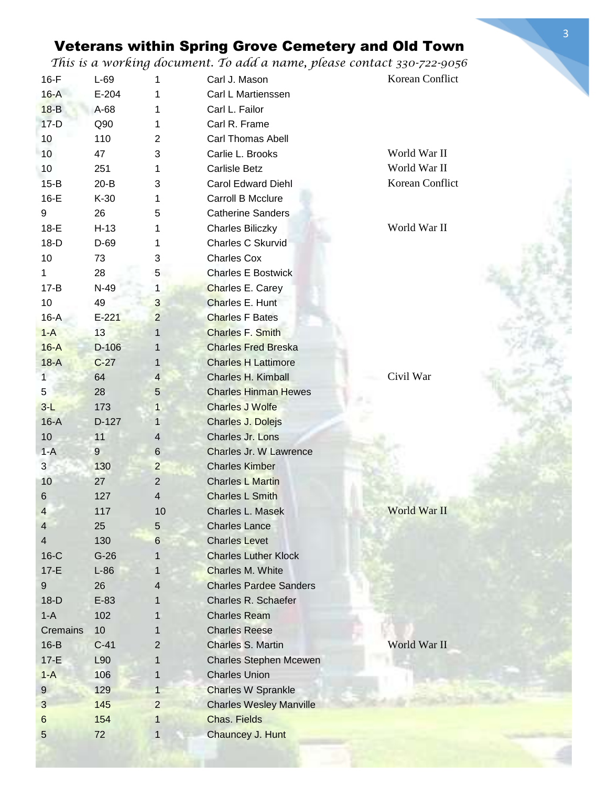3

|                         | U         |                | ر .                                                    |                 |
|-------------------------|-----------|----------------|--------------------------------------------------------|-----------------|
| $16-F$                  | $L-69$    | 1              | Carl J. Mason                                          | Korean Conflict |
| $16-A$                  | $E-204$   | 1              | Carl L Martienssen                                     |                 |
| $18-B$                  | A-68      |                | Carl L. Failor                                         |                 |
| $17-D$                  | Q90       | 1              | Carl R. Frame                                          |                 |
| 10                      | 110       | $\overline{2}$ | <b>Carl Thomas Abell</b>                               |                 |
| 10                      | 47        | 3              | Carlie L. Brooks                                       | World War II    |
| 10                      | 251       | 1              | <b>Carlisle Betz</b>                                   | World War II    |
| $15-B$                  | $20 - B$  | 3              | <b>Carol Edward Diehl</b>                              | Korean Conflict |
| $16-E$                  | $K-30$    | 1              | Carroll B Mcclure                                      |                 |
| 9                       | 26        | 5              | <b>Catherine Sanders</b>                               |                 |
| $18-E$                  | $H-13$    |                | <b>Charles Biliczky</b>                                | World War II    |
| $18-D$                  | D-69      | 1              | Charles C Skurvid                                      |                 |
| 10                      | 73        | 3              | <b>Charles Cox</b>                                     |                 |
| $\mathbf{1}$            | 28        | 5              | <b>Charles E Bostwick</b>                              |                 |
| $17 - B$                | N-49      | 1              | Charles E. Carey                                       |                 |
| 10                      | 49        | 3              | Charles E. Hunt                                        |                 |
| $16-A$                  | $E - 221$ | $\overline{2}$ | <b>Charles F Bates</b>                                 |                 |
| $1-A$                   | 13        | 1              | <b>Charles F. Smith</b>                                |                 |
| $16-A$                  | $D-106$   | 1              | <b>Charles Fred Breska</b>                             |                 |
| $18-A$                  | $C-27$    | 1              | <b>Charles H Lattimore</b>                             |                 |
| 1                       | 64        | $\overline{4}$ | Charles H. Kimball                                     | Civil War       |
| 5                       | 28        | 5              | <b>Charles Hinman Hewes</b>                            |                 |
| $3-L$                   | 173       | 1              | <b>Charles J Wolfe</b>                                 |                 |
| $16-A$                  | D-127     | $\mathbf{1}$   | Charles J. Dolejs                                      |                 |
| 10                      | 11        | $\overline{4}$ | Charles Jr. Lons                                       |                 |
| $1-A$                   | 9         | $\,6$          | Charles Jr. W Lawrence                                 |                 |
| 3 <sup>1</sup>          | 130       | $\overline{2}$ | <b>Charles Kimber</b>                                  |                 |
| 10                      | 27        | $\overline{2}$ | <b>Charles L Martin</b>                                |                 |
| $\,6\,$                 | 127       | $\overline{4}$ | <b>Charles L Smith</b>                                 |                 |
|                         |           | 10             | Charles L. Masek                                       | World War II    |
| 4                       | 117       |                |                                                        |                 |
| $\overline{4}$          | 25        | 5              | <b>Charles Lance</b>                                   |                 |
| $\overline{\mathbf{4}}$ | 130       | $6\phantom{1}$ | <b>Charles Levet</b>                                   |                 |
| $16-C$                  | $G-26$    |                | <b>Charles Luther Klock</b><br><b>Charles M. White</b> |                 |
| $17-E$                  | $L-86$    |                | <b>Charles Pardee Sanders</b>                          |                 |
| $9\,$                   | 26        | 4              |                                                        |                 |
| $18-D$                  | $E-83$    |                | Charles R. Schaefer                                    |                 |
| $1-A$                   | 102       |                | <b>Charles Ream</b>                                    |                 |
| Cremains                | 10        |                | <b>Charles Reese</b>                                   |                 |
| $16-B$                  | $C-41$    | $\overline{2}$ | Charles S. Martin                                      | World War II    |
| $17-E$                  | L90       | 1              | <b>Charles Stephen Mcewen</b>                          |                 |
| $1-A$                   | 106       | 1              | <b>Charles Union</b>                                   |                 |
| $\overline{9}$          | 129       | $\mathbf{1}$   | <b>Charles W Sprankle</b>                              |                 |
| 3                       | 145       | $\overline{2}$ | <b>Charles Wesley Manville</b>                         |                 |
| 6                       | 154       | 1              | <b>Chas. Fields</b>                                    |                 |
| $\sqrt{5}$              | 72        | 1              | Chauncey J. Hunt                                       |                 |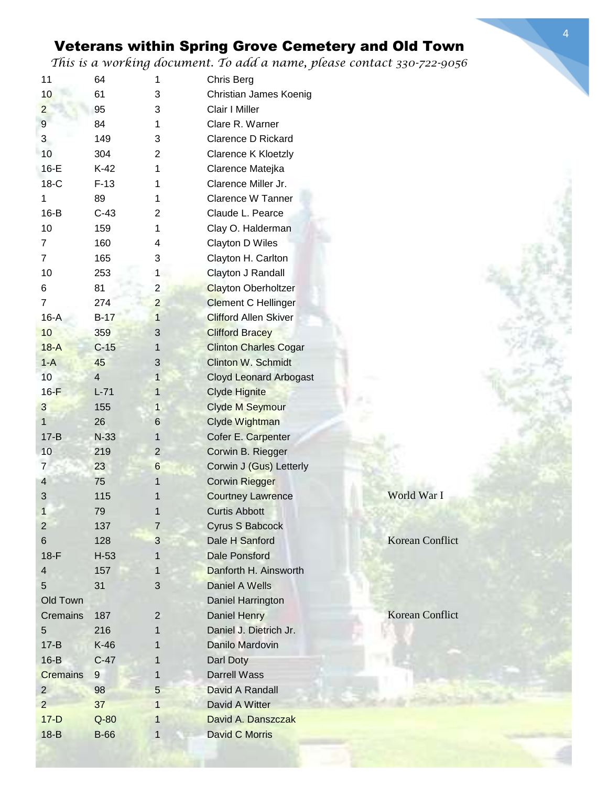| 11              | 64             | 1              | Chris Berg                    |                        |
|-----------------|----------------|----------------|-------------------------------|------------------------|
| 10              | 61             | 3              | Christian James Koenig        |                        |
| $\overline{2}$  | 95             | 3              | Clair I Miller                |                        |
| 9               | 84             | 1              | Clare R. Warner               |                        |
| 3               | 149            | 3              | <b>Clarence D Rickard</b>     |                        |
| 10              | 304            | 2              | Clarence K Kloetzly           |                        |
| $16-E$          | $K-42$         | 1              | Clarence Matejka              |                        |
| $18-C$          | $F-13$         | 1              | Clarence Miller Jr.           |                        |
| 1               | 89             | 1              | Clarence W Tanner             |                        |
| $16-B$          | $C-43$         | 2              | Claude L. Pearce              |                        |
| 10              | 159            | 1              | Clay O. Halderman             |                        |
| 7               | 160            | 4              | Clayton D Wiles               |                        |
| 7               | 165            | 3              | Clayton H. Carlton            |                        |
| 10              | 253            | $\mathbf{1}$   | Clayton J Randall             |                        |
| 6               | 81             | $\overline{2}$ | <b>Clayton Oberholtzer</b>    |                        |
| $\overline{7}$  | 274            | $\overline{2}$ | <b>Clement C Hellinger</b>    |                        |
| $16-A$          | $B-17$         | $\mathbf{1}$   | <b>Clifford Allen Skiver</b>  |                        |
| 10              | 359            | 3              | <b>Clifford Bracey</b>        |                        |
| $18-A$          | $C-15$         | $\mathbf 1$    | <b>Clinton Charles Cogar</b>  |                        |
|                 |                |                | <b>Clinton W. Schmidt</b>     |                        |
| $1-A$           | 45             | 3              |                               |                        |
| 10              | $\overline{4}$ | 1              | <b>Cloyd Leonard Arbogast</b> |                        |
| $16-F$          | $L-71$         | $\mathbf{1}$   | <b>Clyde Hignite</b>          |                        |
| $\mathbf{3}$    | 155            | $\mathbf{1}$   | <b>Clyde M Seymour</b>        |                        |
| 1               | 26             | 6              | Clyde Wightman                |                        |
| $17 - B$        | $N-33$         | 1              | Cofer E. Carpenter            |                        |
| 10              | 219            | $\overline{2}$ | Corwin B. Riegger             |                        |
| $\overline{7}$  | 23             | 6              | Corwin J (Gus) Letterly       |                        |
| 4               | 75             | 1              | <b>Corwin Riegger</b>         |                        |
| 3               | 115            |                | <b>Courtney Lawrence</b>      | World War I            |
| 1               | 79             |                | <b>Curtis Abbott</b>          |                        |
| 2               | 137            | $\overline{7}$ | Cyrus S Babcock               |                        |
| 6               | 128            | 3              | Dale H Sanford                | <b>Korean Conflict</b> |
| $18-F$          | $H-53$         | 1              | <b>Dale Ponsford</b>          |                        |
| 4               | 157            | 1              | Danforth H. Ainsworth         |                        |
| 5               | 31             | 3              | Daniel A Wells                |                        |
| Old Town        |                |                | Daniel Harrington             |                        |
| <b>Cremains</b> | 187            | $\overline{c}$ | Daniel Henry                  | <b>Korean Conflict</b> |
| 5               | 216            | 1              | Daniel J. Dietrich Jr.        |                        |
| $17 - B$        | $K-46$         |                | Danilo Mardovin               |                        |
| $16-B$          | $C-47$         | 1              | Darl Doty                     |                        |
| <b>Cremains</b> | 9              | 1              | <b>Darrell Wass</b>           |                        |
| $\overline{2}$  | 98             | 5              | David A Randall               |                        |
| $\overline{2}$  | 37             | 1              | David A Witter                |                        |
| $17-D$          | $Q-80$         | 1              | David A. Danszczak            |                        |
| $18-B$          | <b>B-66</b>    | 1              | <b>David C Morris</b>         |                        |
|                 |                |                |                               |                        |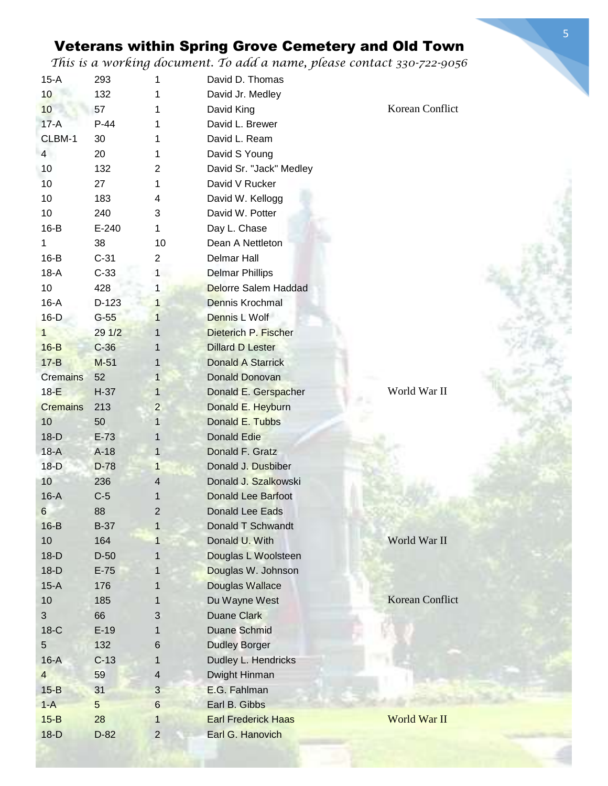| $15-A$          | 293         | 1                       | David D. Thomas             |                        |
|-----------------|-------------|-------------------------|-----------------------------|------------------------|
| 10              | 132         | 1                       | David Jr. Medley            |                        |
| 10              | 57          | 1                       | David King                  | Korean Conflict        |
| $17-A$          | $P-44$      | 1                       | David L. Brewer             |                        |
| CLBM-1          | 30          | 1                       | David L. Ream               |                        |
| $\overline{4}$  | 20          | 1                       | David S Young               |                        |
| 10              | 132         | $\overline{2}$          | David Sr. "Jack" Medley     |                        |
| 10              | 27          | 1                       | David V Rucker              |                        |
| 10              | 183         | 4                       | David W. Kellogg            |                        |
| 10              | 240         | 3                       | David W. Potter             |                        |
| $16-B$          | $E-240$     | 1                       | Day L. Chase                |                        |
| 1               | 38          | 10                      | Dean A Nettleton            |                        |
| $16-B$          | $C-31$      | $\overline{c}$          | <b>Delmar Hall</b>          |                        |
| $18-A$          | $C-33$      | 1                       | <b>Delmar Phillips</b>      |                        |
| 10              | 428         | $\mathbf{1}$            | <b>Delorre Salem Haddad</b> |                        |
| $16-A$          | $D-123$     | $\mathbf{1}$            | Dennis Krochmal             |                        |
| $16-D$          | $G-55$      | $\mathbf{1}$            | Dennis L Wolf               |                        |
| 1               | 291/2       | 1                       | Dieterich P. Fischer        |                        |
| $16-B$          | $C-36$      | $\mathbf{1}$            | <b>Dillard D Lester</b>     |                        |
| $17 - B$        | $M-51$      | 1                       | <b>Donald A Starrick</b>    |                        |
| <b>Cremains</b> | 52          | $\mathbf{1}$            | <b>Donald Donovan</b>       |                        |
| $18-E$          | $H-37$      | 1                       | Donald E. Gerspacher        | World War II           |
| <b>Cremains</b> | 213         | $\overline{c}$          | Donald E. Heyburn           |                        |
| 10              | 50          | 1                       | Donald E. Tubbs             |                        |
| $18-D$          | $E-73$      | $\mathbf{1}$            | <b>Donald Edie</b>          |                        |
| $18-A$          | $A-18$      | $\mathbf{1}$            | Donald F. Gratz             |                        |
| $18-D$          | $D-78$      | $\mathbf{1}$            | Donald J. Dusbiber          |                        |
| 10              | 236         | $\overline{4}$          | Donald J. Szalkowski        |                        |
| $16-A$          | $C-5$       | 1                       | <b>Donald Lee Barfoot</b>   |                        |
| 6               | 88          | 2                       | <b>Donald Lee Eads</b>      |                        |
| $16-B$          | <b>B-37</b> | $\mathbf{1}$            | Donald T Schwandt           |                        |
| 10              | 164         | $\mathbf{1}$            | Donald U. With              | World War II           |
| $18-D$          | $D-50$      | 1                       | Douglas L Woolsteen         |                        |
| $18-D$          | $E-75$      | 1                       | Douglas W. Johnson          |                        |
| $15-A$          | 176         | 1                       | <b>Douglas Wallace</b>      |                        |
| 10              | 185         | 1                       | Du Wayne West               | <b>Korean Conflict</b> |
| $\mathbf{3}$    | 66          | 3                       | <b>Duane Clark</b>          |                        |
| 18-C            | $E-19$      | 1                       | <b>Duane Schmid</b>         |                        |
| 5               | 132         | 6                       | <b>Dudley Borger</b>        |                        |
| $16-A$          | $C-13$      | 1                       | Dudley L. Hendricks         |                        |
| $\overline{4}$  | 59          | $\overline{\mathbf{4}}$ | Dwight Hinman               |                        |
| $15-B$          | 31          | $\mathbf{3}$            | E.G. Fahlman                |                        |
| $1-A$           | 5           | 6                       | Earl B. Gibbs               |                        |
| $15-B$          | 28          | 1                       | <b>Earl Frederick Haas</b>  | World War II           |
| $18-D$          | $D-82$      | $\overline{2}$          | Earl G. Hanovich            |                        |
|                 |             |                         |                             |                        |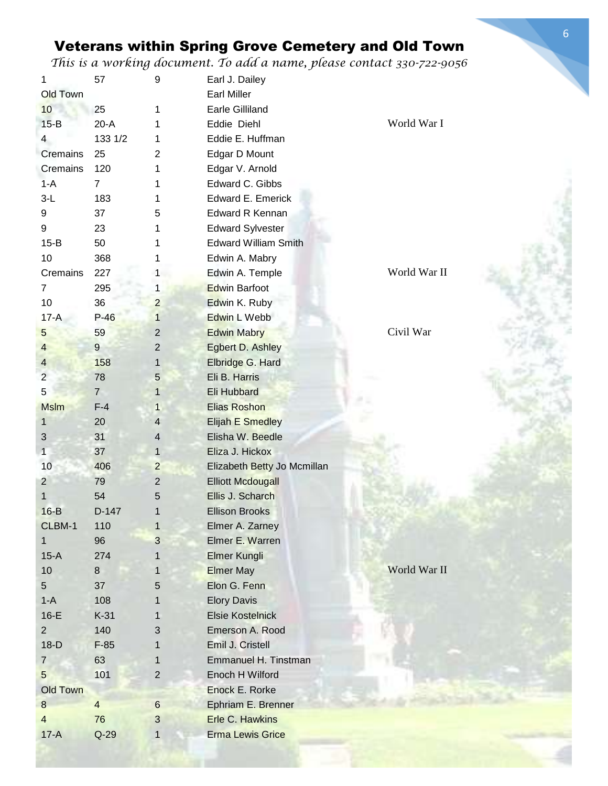| 1                | 57             | 9              | Earl J. Dailey              |              |
|------------------|----------------|----------------|-----------------------------|--------------|
| <b>Old Town</b>  |                |                | <b>Earl Miller</b>          |              |
| 10               | 25             | 1              | <b>Earle Gilliland</b>      |              |
| $15-B$           | $20-A$         | 1              | Eddie Diehl                 | World War I  |
| $\overline{4}$   | 133 1/2        | 1              | Eddie E. Huffman            |              |
| Cremains         | 25             | 2              | Edgar D Mount               |              |
| Cremains         | 120            | 1              | Edgar V. Arnold             |              |
| $1-A$            | $\overline{7}$ | 1              | Edward C. Gibbs             |              |
| $3-L$            | 183            | 1              | Edward E. Emerick           |              |
| 9                | 37             | 5              | <b>Edward R Kennan</b>      |              |
| 9                | 23             | 1              | <b>Edward Sylvester</b>     |              |
| $15-B$           | 50             | 1              | <b>Edward William Smith</b> |              |
| 10               | 368            | 1              | Edwin A. Mabry              |              |
| Cremains         | 227            | 1              | Edwin A. Temple             | World War II |
| $\overline{7}$   | 295            | 1              | <b>Edwin Barfoot</b>        |              |
| 10               | 36             | $\overline{2}$ | Edwin K. Ruby               |              |
| $17-A$           | $P-46$         | $\mathbf{1}$   | Edwin L Webb                |              |
| 5                | 59             | $\overline{c}$ | <b>Edwin Mabry</b>          | Civil War    |
| $\overline{4}$   | $\overline{9}$ | $\overline{2}$ | <b>Egbert D. Ashley</b>     |              |
| $\overline{4}$   | 158            | 1              | Elbridge G. Hard            |              |
| $\overline{2}$   | 78             | 5              | Eli B. Harris               |              |
| $\sqrt{5}$       | $\overline{7}$ | $\mathbf{1}$   | Eli Hubbard                 |              |
| <b>Mslm</b>      | $F-4$          | 1              | <b>Elias Roshon</b>         |              |
| $\mathbf{1}$     | 20             | 4              | <b>Elijah E Smedley</b>     |              |
| 3                | 31             | 4              | Elisha W. Beedle            |              |
| $\mathbf{1}$     | 37             | $\mathbf{1}$   | Eliza J. Hickox             |              |
| 10               | 406            | $\overline{c}$ | Elizabeth Betty Jo Mcmillan |              |
| $\overline{2}$   | 79             | $\overline{2}$ | <b>Elliott Mcdougall</b>    |              |
| 1                | 54             | 5              | Ellis J. Scharch            |              |
| $16-B$           | $D-147$        | $\mathbf{1}$   | <b>Ellison Brooks</b>       |              |
| CLBM-1           | 110            | $\mathbf{1}$   | Elmer A. Zarney             |              |
| $\mathbf{1}$     | 96             | 3              | Elmer E. Warren             |              |
| $15-A$           | 274            | 1              | <b>Elmer Kungli</b>         |              |
| 10               | 8              | 1              | <b>Elmer May</b>            | World War II |
| 5 <sup>5</sup>   | 37             | 5              | Elon G. Fenn                |              |
| $1-A$            | 108            | 1              | <b>Elory Davis</b>          |              |
| $16-E$           | $K-31$         | 1              | <b>Elsie Kostelnick</b>     |              |
| $\overline{2}$   | 140            | 3              | Emerson A. Rood             |              |
| $18-D$           | $F-85$         | 1              | Emil J. Cristell            |              |
| $\overline{7}$   | 63             | 1              | Emmanuel H. Tinstman        |              |
| 5                | 101            | $\overline{2}$ | Enoch H Wilford             |              |
| <b>Old Town</b>  |                |                | Enock E. Rorke              |              |
| $\boldsymbol{8}$ | $\overline{4}$ | 6              | Ephriam E. Brenner          |              |
| $\overline{4}$   | 76             | 3              | Erle C. Hawkins             |              |
| $17-A$           | $Q-29$         | 1              | <b>Erma Lewis Grice</b>     |              |
|                  |                |                |                             |              |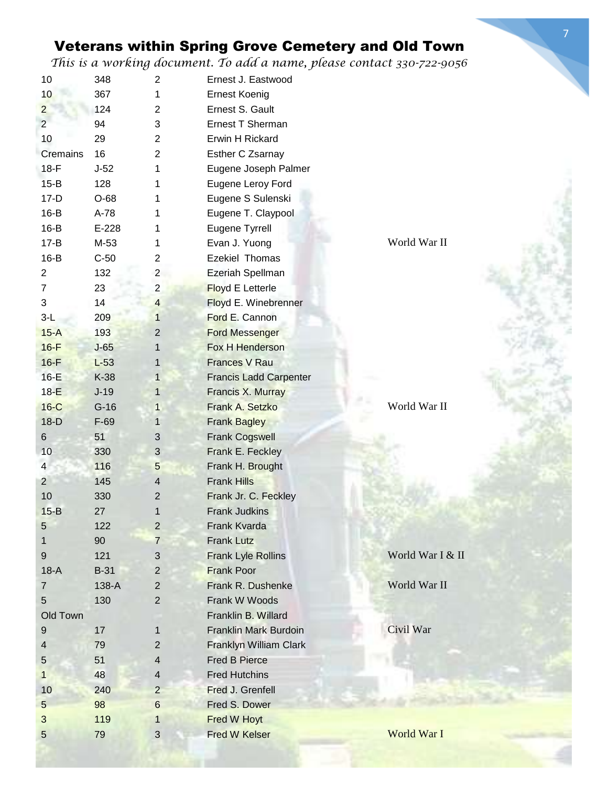| 10               | 348         | 2              | Ernest J. Eastwood            |                  |
|------------------|-------------|----------------|-------------------------------|------------------|
| 10               | 367         | 1              | <b>Ernest Koenig</b>          |                  |
| $\overline{2}$   | 124         | $\overline{2}$ | Ernest S. Gault               |                  |
| $\overline{2}$   | 94          | 3              | Ernest T Sherman              |                  |
| 10               | 29          | $\overline{2}$ | Erwin H Rickard               |                  |
| Cremains         | 16          | 2              | Esther C Zsarnay              |                  |
| $18-F$           | $J-52$      | 1              | Eugene Joseph Palmer          |                  |
| $15-B$           | 128         | 1              | Eugene Leroy Ford             |                  |
| $17-D$           | $O-68$      | 1              | Eugene S Sulenski             |                  |
| $16-B$           | A-78        | 1              | Eugene T. Claypool            |                  |
| $16-B$           | $E-228$     | 1              | Eugene Tyrrell                |                  |
| $17 - B$         | M-53        | 1              | Evan J. Yuong                 | World War II     |
| $16-B$           | $C-50$      | 2              | Ezekiel Thomas                |                  |
| $\overline{2}$   | 132         | $\overline{c}$ | Ezeriah Spellman              |                  |
| $\overline{7}$   | 23          | $\overline{2}$ | <b>Floyd E Letterle</b>       |                  |
| 3                | 14          | $\overline{4}$ | Floyd E. Winebrenner          |                  |
| $3-L$            | 209         | $\mathbf{1}$   | Ford E. Cannon                |                  |
| $15-A$           | 193         | $\overline{2}$ | <b>Ford Messenger</b>         |                  |
| $16-F$           |             |                | Fox H Henderson               |                  |
|                  | $J-65$      | 1              |                               |                  |
| $16-F$           | $L-53$      | 1              | <b>Frances V Rau</b>          |                  |
| $16-E$           | K-38        | $\mathbf{1}$   | <b>Francis Ladd Carpenter</b> |                  |
| $18-E$           | $J-19$      | $\mathbf{1}$   | Francis X. Murray             |                  |
| $16-C$           | $G-16$      | 1              | Frank A. Setzko               | World War II     |
| $18-D$           | $F-69$      | $\mathbf{1}$   | <b>Frank Bagley</b>           |                  |
| $\,6$            | 51          | 3              | <b>Frank Cogswell</b>         |                  |
| 10               | 330         | $\sqrt{3}$     | Frank E. Feckley              |                  |
| $\overline{4}$   | 116         | 5              | Frank H. Brought              |                  |
| $\overline{2}$   | 145         | 4              | <b>Frank Hills</b>            |                  |
| 10               | 330         | $\overline{c}$ | Frank Jr. C. Feckley          |                  |
| $15 - B$         | 27          | 1              | <b>Frank Judkins</b>          |                  |
| $\sqrt{5}$       | 122         | $\overline{2}$ | Frank Kvarda                  |                  |
| 1                | 90          | $\overline{7}$ | <b>Frank Lutz</b>             |                  |
| $\boldsymbol{9}$ | 121         | $\sqrt{3}$     | Frank Lyle Rollins            | World War I & II |
| $18-A$           | <b>B-31</b> | $\overline{2}$ | <b>Frank Poor</b>             |                  |
| $\overline{7}$   | 138-A       | $\mathbf{2}$   | Frank R. Dushenke             | World War II     |
| 5                | 130         | $\mathbf{2}$   | Frank W Woods                 |                  |
| Old Town         |             |                | Franklin B. Willard           |                  |
| 9                | 17          | 1              | <b>Franklin Mark Burdoin</b>  | Civil War        |
| $\overline{4}$   | 79          | $\mathbf 2$    | Franklyn William Clark        |                  |
| 5                | 51          | $\overline{4}$ | <b>Fred B Pierce</b>          |                  |
| $\mathbf{1}$     | 48          | $\overline{4}$ | <b>Fred Hutchins</b>          |                  |
| 10               | 240         | $\overline{2}$ | Fred J. Grenfell              |                  |
| $5\phantom{.0}$  | 98          | $6\phantom{1}$ | Fred S. Dower                 |                  |
| $\mathfrak{S}$   | 119         |                |                               |                  |
|                  |             | 1              | Fred W Hoyt                   |                  |
| $\sqrt{5}$       | 79          | $\sqrt{3}$     | <b>Fred W Kelser</b>          | World War I      |

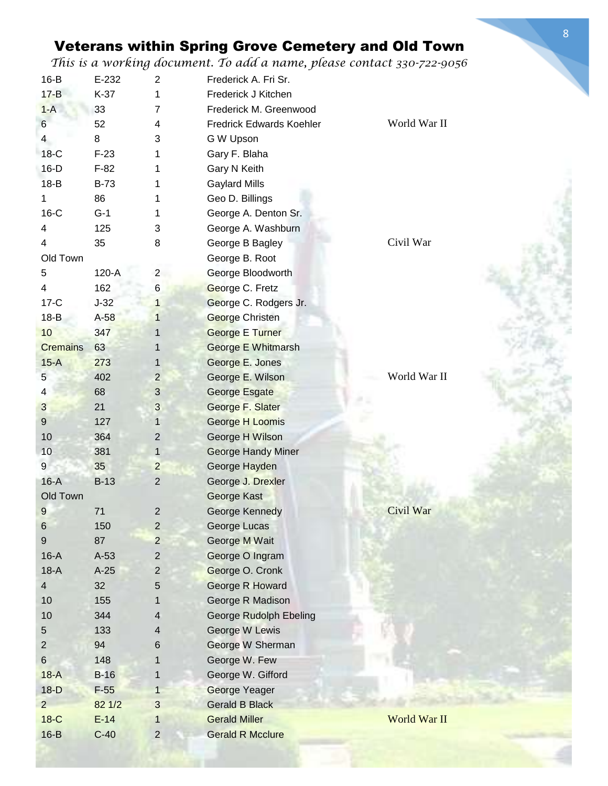| $16-B$          | E-232       | 2                       | Frederick A. Fri Sr.          |              |
|-----------------|-------------|-------------------------|-------------------------------|--------------|
| $17 - B$        | $K-37$      | 1                       | Frederick J Kitchen           |              |
| $1-A$           | 33          | 7                       | Frederick M. Greenwood        |              |
| $\,6$           | 52          | 4                       | Fredrick Edwards Koehler      | World War II |
| $\overline{4}$  | 8           | 3                       | G W Upson                     |              |
| $18-C$          | $F-23$      | 1                       | Gary F. Blaha                 |              |
| $16-D$          | $F-82$      | 1                       | Gary N Keith                  |              |
| $18-B$          | <b>B-73</b> | 1                       | <b>Gaylard Mills</b>          |              |
| $\mathbf 1$     | 86          | 1                       | Geo D. Billings               |              |
| $16-C$          | $G-1$       | 1                       | George A. Denton Sr.          |              |
| 4               | 125         | 3                       | George A. Washburn            |              |
| 4               | 35          | 8                       | George B Bagley               | Civil War    |
| Old Town        |             |                         | George B. Root                |              |
| 5               | 120-A       | $\overline{2}$          | George Bloodworth             |              |
| 4               | 162         | $\,6$                   | George C. Fretz               |              |
| $17-C$          | $J-32$      | $\mathbf 1$             | George C. Rodgers Jr.         |              |
| $18-B$          | $A-58$      | $\mathbf{1}$            | <b>George Christen</b>        |              |
| 10              | 347         | 1                       | <b>George E Turner</b>        |              |
| <b>Cremains</b> | 63          | 1                       | <b>George E Whitmarsh</b>     |              |
| $15-A$          | 273         | 1                       | George E. Jones               |              |
| 5               | 402         | $\overline{c}$          | George E. Wilson              | World War II |
| 4               | 68          | 3                       | <b>George Esgate</b>          |              |
| 3               | 21          | 3                       | George F. Slater              |              |
| 9               | 127         | 1                       | George H Loomis               |              |
| 10              | 364         | $\overline{c}$          | George H Wilson               |              |
| 10              | 381         | $\mathbf{1}$            | <b>George Handy Miner</b>     |              |
| 9               | 35          | $\overline{c}$          | George Hayden                 |              |
| $16-A$          | $B-13$      | $\mathbf{2}$            | George J. Drexler             |              |
| Old Town        |             |                         | George Kast                   |              |
| 9               | 71          | $\overline{\mathbf{c}}$ | <b>George Kennedy</b>         | Civil War    |
| $\,6$           | 150         | $\overline{c}$          | George Lucas                  |              |
| $9\,$           | 87          | $\overline{c}$          | George M Wait                 |              |
| $16-A$          | $A-53$      | 2                       | George O Ingram               |              |
| $18-A$          | $A-25$      | 2                       | George O. Cronk               |              |
| $\overline{4}$  | 32          | 5                       | <b>George R Howard</b>        |              |
| 10              | 155         | 1                       | George R Madison              |              |
| 10              | 344         | 4                       | <b>George Rudolph Ebeling</b> |              |
| 5               | 133         | 4                       | George W Lewis                |              |
| $\overline{2}$  | 94          | 6                       | George W Sherman              |              |
| $6\,$           | 148         | 1                       | George W. Few                 |              |
| $18-A$          | $B-16$      | 1                       | George W. Gifford             |              |
| $18-D$          | $F-55$      | $\mathbf{1}$            | George Yeager                 |              |
| 2 <sup>2</sup>  | 82 1/2      | 3                       | <b>Gerald B Black</b>         |              |
| $18-C$          | $E-14$      | 1                       | <b>Gerald Miller</b>          | World War II |
| $16-B$          | $C-40$      | $\overline{2}$          | <b>Gerald R Mcclure</b>       |              |
|                 |             |                         |                               |              |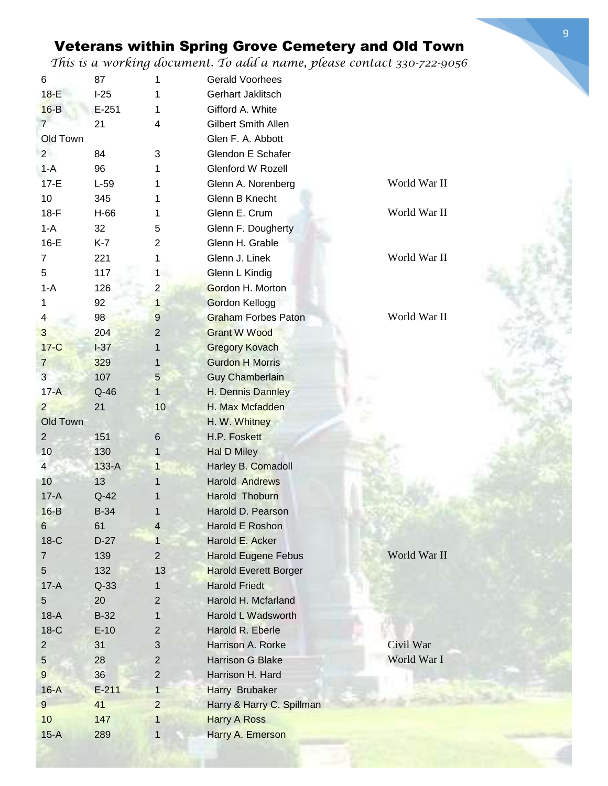*This is a working document. To add a name, please contact 330-722-9056*

| 6              | 87        | 1                   | <b>Gerald Voorhees</b>       |              |
|----------------|-----------|---------------------|------------------------------|--------------|
| $18-E$         | $I-25$    | 1                   | Gerhart Jaklitsch            |              |
| $16-B$         | $E - 251$ | 1                   | Gifford A. White             |              |
| $\overline{7}$ | 21        | 4                   | Gilbert Smith Allen          |              |
| Old Town       |           |                     | Glen F. A. Abbott            |              |
| $\overline{2}$ | 84        | 3                   | Glendon E Schafer            |              |
| $1 - A$        | 96        | 1                   | Glenford W Rozell            |              |
| $17-E$         | $L-59$    | 1                   | Glenn A. Norenberg           | World War II |
| 10             | 345       | 1                   | Glenn B Knecht               |              |
| $18-F$         | H-66      | 1                   | Glenn E. Crum                | World War II |
| $1-A$          | 32        | 5                   | Glenn F. Dougherty           |              |
| $16-E$         | $K-7$     | 2                   | Glenn H. Grable              |              |
| $\overline{7}$ | 221       | 1                   | Glenn J. Linek               | World War II |
| 5              | 117       |                     | Glenn L Kindig               |              |
| $1 - A$        |           | 1<br>$\overline{2}$ | Gordon H. Morton             |              |
|                | 126       |                     |                              |              |
| 1              | 92        | $\mathbf{1}$        | <b>Gordon Kellogg</b>        |              |
| 4              | 98        | $\boldsymbol{9}$    | <b>Graham Forbes Paton</b>   | World War II |
| 3              | 204       | $\overline{2}$      | <b>Grant W Wood</b>          |              |
| $17-C$         | $I-37$    | $\mathbf{1}$        | <b>Gregory Kovach</b>        |              |
| $\overline{7}$ | 329       | 1                   | <b>Gurdon H Morris</b>       |              |
| 3              | 107       | 5                   | <b>Guy Chamberlain</b>       |              |
| $17-A$         | $Q-46$    | $\mathbf{1}$        | H. Dennis Dannley            |              |
| $\overline{2}$ | 21        | 10                  | H. Max Mcfadden              |              |
| Old Town       |           |                     | H. W. Whitney                |              |
| $\overline{2}$ | 151       | $6\,$               | H.P. Foskett                 |              |
| 10             | 130       | $\mathbf{1}$        | <b>Hal D Miley</b>           |              |
| $\overline{4}$ | $133-A$   | 1                   | Harley B. Comadoll           |              |
| 10             | 13        | 1                   | <b>Harold Andrews</b>        |              |
| $17-A$         | $Q-42$    | 1                   | Harold Thoburn               |              |
| $16-B$         | $B-34$    |                     | Harold D. Pearson            |              |
| 6              | 61        | 4                   | Harold E Roshon              |              |
| $18-C$         | $D-27$    | $\mathbf{1}$        | Harold E. Acker              |              |
| $\overline{7}$ | 139       | $\overline{2}$      | <b>Harold Eugene Febus</b>   | World War II |
| 5              | 132       | 13                  | <b>Harold Everett Borger</b> |              |
| $17-A$         | $Q-33$    | 1                   | <b>Harold Friedt</b>         |              |
| 5              | 20        | $\overline{2}$      | Harold H. Mcfarland          |              |
| $18-A$         | $B-32$    | $\mathbf{1}$        | Harold L Wadsworth           |              |
| $18-C$         | $E-10$    | $\overline{2}$      | Harold R. Eberle             |              |
| $\overline{2}$ | 31        | 3                   | Harrison A. Rorke            | Civil War    |
| 5              | 28        | $\mathbf 2$         | Harrison G Blake             | World War I  |
| 9              | 36        | $\mathbf 2$         | Harrison H. Hard             |              |
| $16-A$         | $E - 211$ | $\mathbf{1}$        | Harry Brubaker               |              |
| $\overline{9}$ | 41        | $\overline{2}$      | Harry & Harry C. Spillman    |              |
|                |           |                     |                              |              |
| 10             | 147       | $\mathbf{1}$        | <b>Harry A Ross</b>          |              |
| $15-A$         | 289       | $\mathbf{1}$        | Harry A. Emerson             |              |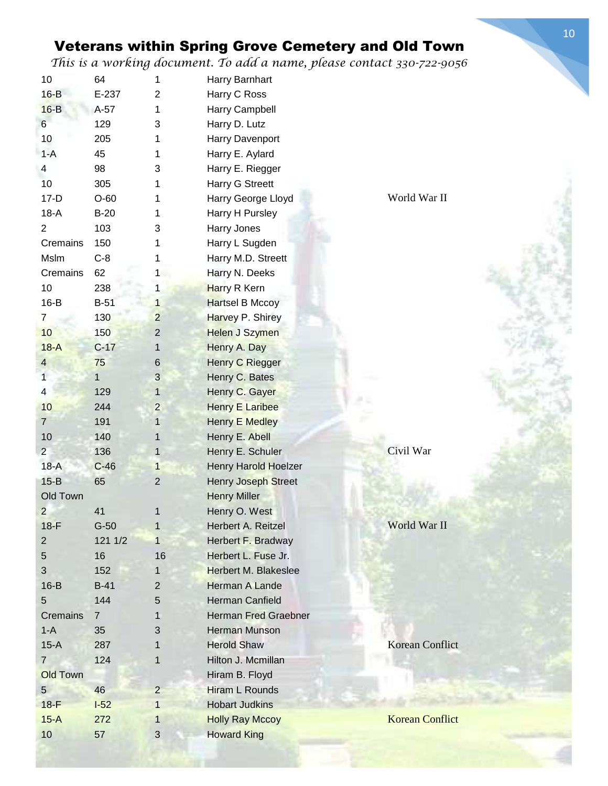*This is a working document. To add a name, please contact 330-722-9056*

| 10                      | 64             | 1                       | Harry Barnhart              |                        |
|-------------------------|----------------|-------------------------|-----------------------------|------------------------|
| $16-B$                  | E-237          | 2                       | Harry C Ross                |                        |
| $16-B$                  | $A-57$         | 1                       | Harry Campbell              |                        |
| 6                       | 129            | 3                       | Harry D. Lutz               |                        |
| 10                      | 205            | 1                       | Harry Davenport             |                        |
| $1-A$                   | 45             | 1                       | Harry E. Aylard             |                        |
| 4                       | 98             | 3                       | Harry E. Riegger            |                        |
| 10                      | 305            | 1                       | Harry G Streett             |                        |
| $17-D$                  | $O-60$         |                         | Harry George Lloyd          | World War II           |
| $18-A$                  | $B-20$         | 1                       | Harry H Pursley             |                        |
| $\overline{2}$          | 103            | 3                       | Harry Jones                 |                        |
| Cremains                | 150            |                         | Harry L Sugden              |                        |
| Mslm                    | $C-8$          |                         | Harry M.D. Streett          |                        |
| Cremains                | 62             | 1                       | Harry N. Deeks              |                        |
| 10                      | 238            | 1                       | Harry R Kern                |                        |
| $16-B$                  | $B-51$         | $\mathbf{1}$            | Hartsel B Mccoy             |                        |
| $\overline{7}$          | 130            | $\overline{c}$          | Harvey P. Shirey            |                        |
| 10                      | 150            | $\overline{c}$          | <b>Helen J Szymen</b>       |                        |
| $18-A$                  | $C-17$         | $\mathbf{1}$            | Henry A. Day                |                        |
| $\overline{4}$          | 75             | 6                       | Henry C Riegger             |                        |
| $\mathbf{1}$            | $\mathbf{1}$   | 3                       | Henry C. Bates              |                        |
| $\overline{\mathbf{4}}$ | 129            | 1                       | Henry C. Gayer              |                        |
| 10                      | 244            | $\overline{\mathbf{c}}$ | <b>Henry E Laribee</b>      |                        |
| $\overline{7}$          | 191            | $\mathbf{1}$            | <b>Henry E Medley</b>       |                        |
| 10                      | 140            | 1                       | Henry E. Abell              |                        |
| $2^{\circ}$             | 136            | $\mathbf{1}$            | Henry E. Schuler            | Civil War              |
| $18-A$                  | $C-46$         | 1                       | Henry Harold Hoelzer        |                        |
| $15-B$                  | 65             | $\boldsymbol{2}$        | Henry Joseph Street         |                        |
| Old Town                |                |                         | <b>Henry Miller</b>         |                        |
| 2                       | 41             |                         | Henry O. West               |                        |
| $18-F$                  | $G-50$         | $\mathbf{1}$            | Herbert A. Reitzel          | World War II           |
| $\overline{2}$          | 121 1/2        | $\mathbf{1}$            | Herbert F. Bradway          |                        |
| 5                       | 16             | 16                      | Herbert L. Fuse Jr.         |                        |
| 3                       | 152            | 1                       | <b>Herbert M. Blakeslee</b> |                        |
| $16-B$                  | $B-41$         | 2                       | Herman A Lande              |                        |
| 5                       | 144            | 5                       | <b>Herman Canfield</b>      |                        |
| <b>Cremains</b>         | $\overline{7}$ | 1                       | <b>Herman Fred Graebner</b> |                        |
| $1-A$                   | 35             | 3                       | <b>Herman Munson</b>        |                        |
| $15-A$                  | 287            | 1                       | <b>Herold Shaw</b>          | <b>Korean Conflict</b> |
| $\overline{7}$          | 124            | 1                       | Hilton J. Mcmillan          |                        |
| <b>Old Town</b>         |                |                         | Hiram B. Floyd              |                        |
| $5\overline{)}$         | 46             | $\overline{2}$          | Hiram L Rounds              |                        |
| $18-F$                  | $-52$          | $\mathbf{1}$            | <b>Hobart Judkins</b>       |                        |
| $15-A$                  | 272            |                         | <b>Holly Ray Mccoy</b>      | <b>Korean Conflict</b> |
| 10                      | 57             | 1<br>3                  |                             |                        |
|                         |                |                         | <b>Howard King</b>          |                        |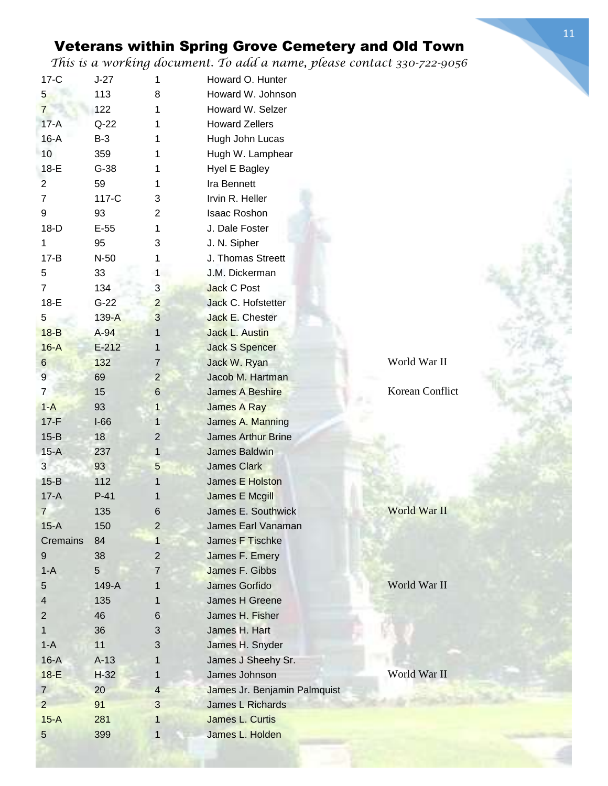| $17-C$          | $J-27$  | 1              | Howard O. Hunter             |                 |
|-----------------|---------|----------------|------------------------------|-----------------|
| $5\phantom{.0}$ | 113     | 8              | Howard W. Johnson            |                 |
| $\overline{7}$  | 122     | 1              | Howard W. Selzer             |                 |
| $17-A$          | $Q-22$  | 1              | <b>Howard Zellers</b>        |                 |
| $16-A$          | $B-3$   | 1              | Hugh John Lucas              |                 |
| 10              | 359     | 1              | Hugh W. Lamphear             |                 |
| 18-E            | $G-38$  | 1              | Hyel E Bagley                |                 |
| $\overline{2}$  | 59      | 1              | Ira Bennett                  |                 |
| $\overline{7}$  | 117-C   | 3              | Irvin R. Heller              |                 |
| 9               | 93      | 2              | <b>Isaac Roshon</b>          |                 |
| $18-D$          | $E-55$  | 1              | J. Dale Foster               |                 |
| 1               | 95      | 3              | J. N. Sipher                 |                 |
| $17 - B$        | $N-50$  | 1              | J. Thomas Streett            |                 |
| 5               | 33      | 1              | J.M. Dickerman               |                 |
| $\overline{7}$  | 134     | 3              | <b>Jack C Post</b>           |                 |
| $18-E$          | $G-22$  | $\overline{2}$ | Jack C. Hofstetter           |                 |
| 5               | $139-A$ | 3              | Jack E. Chester              |                 |
| $18-B$          | $A-94$  | $\mathbf{1}$   | <b>Jack L. Austin</b>        |                 |
| $16-A$          | $E-212$ | 1              | <b>Jack S Spencer</b>        |                 |
| 6               | 132     | $\overline{7}$ | Jack W. Ryan                 | World War II    |
| 9               | 69      | $\overline{c}$ | Jacob M. Hartman             |                 |
| 7               | 15      | $\,$ 6         | <b>James A Beshire</b>       | Korean Conflict |
| $1-A$           | 93      | $\mathbf{1}$   | James A Ray                  |                 |
| $17-F$          | $I-66$  | 1              | James A. Manning             |                 |
| $15-B$          | 18      | $\overline{c}$ | <b>James Arthur Brine</b>    |                 |
| $15-A$          | 237     | $\mathbf{1}$   | <b>James Baldwin</b>         |                 |
| 3               | 93      | 5              | <b>James Clark</b>           |                 |
| $15-B$          | 112     | 1              | James E Holston              |                 |
| $17-A$          | $P-41$  | 1              | James E Mcgill               |                 |
| 7               | 135     | 6              | James E. Southwick           | World War II    |
| $15-A$          | 150     | $\overline{2}$ | James Earl Vanaman           |                 |
| Cremains        | 84      | 1              | James F Tischke              |                 |
| 9               | 38      | $\overline{c}$ | James F. Emery               |                 |
| $1 - A$         | 5       | 7              | James F. Gibbs               |                 |
| 5               | 149-A   | 1              | James Gorfido                | World War II    |
| 4               | 135     | 1              | James H Greene               |                 |
| 2               | 46      | $\,6$          | James H. Fisher              |                 |
| 1               | 36      | 3              | James H. Hart                |                 |
| $1-A$           | 11      | 3              | James H. Snyder              |                 |
| $16-A$          | $A-13$  | 1              | James J Sheehy Sr.           |                 |
| $18-E$          | $H-32$  | $\mathbf 1$    | James Johnson                | World War II    |
| $\overline{7}$  | 20      | $\overline{4}$ | James Jr. Benjamin Palmquist |                 |
| $\overline{2}$  | 91      | 3              | James L Richards             |                 |
| $15-A$          | 281     | 1              | James L. Curtis              |                 |
| 5               | 399     | 1              | James L. Holden              |                 |
|                 |         |                |                              |                 |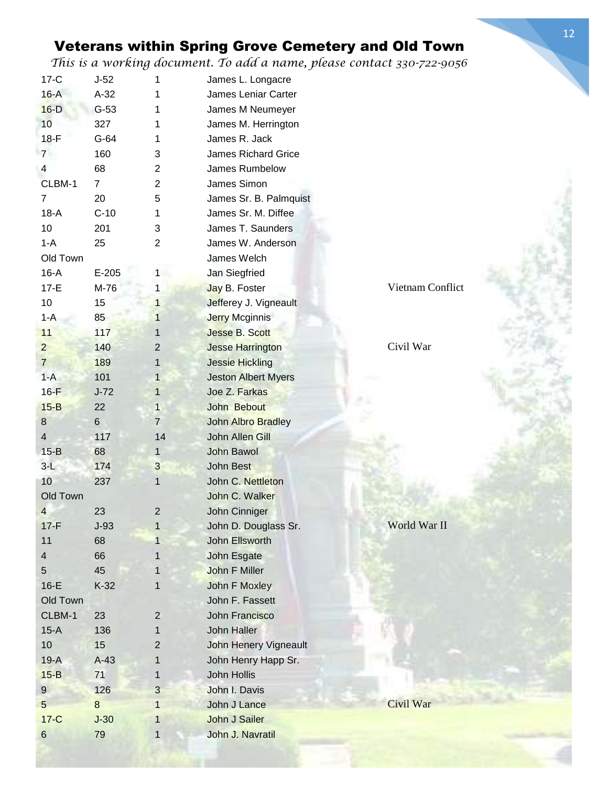| $17-C$                  | $J-52$         | 1              | James L. Longacre             |                  |
|-------------------------|----------------|----------------|-------------------------------|------------------|
| $16-A$                  | $A-32$         | 1              | James Leniar Carter           |                  |
| $16-D$                  | $G-53$         | 1              | James M Neumeyer              |                  |
| 10                      | 327            | 1              | James M. Herrington           |                  |
| $18-F$                  | $G-64$         | 1              | James R. Jack                 |                  |
| $7\overline{ }$         | 160            | 3              | <b>James Richard Grice</b>    |                  |
| 4                       | 68             | $\overline{2}$ | James Rumbelow                |                  |
| CLBM-1                  | $\overline{7}$ | 2              | James Simon                   |                  |
| $\overline{7}$          | 20             | 5              | James Sr. B. Palmquist        |                  |
| $18-A$                  | $C-10$         | 1              | James Sr. M. Diffee           |                  |
| 10                      | 201            | 3              | James T. Saunders             |                  |
| $1 - A$                 | 25             | $\overline{2}$ | James W. Anderson             |                  |
| Old Town                |                |                | James Welch                   |                  |
| $16-A$                  | $E-205$        | $\mathbf{1}$   | Jan Siegfried                 |                  |
| $17-E$                  | M-76           | 1              | Jay B. Foster                 | Vietnam Conflict |
| 10                      | 15             | $\mathbf{1}$   | Jefferey J. Vigneault         |                  |
| $1 - A$                 | 85             | $\mathbf{1}$   | <b>Jerry Mcginnis</b>         |                  |
| 11                      | 117            | 1              | <b>Jesse B. Scott</b>         |                  |
| $\overline{2}$          | 140            | $\overline{2}$ | <b>Jesse Harrington</b>       | Civil War        |
| $\overline{7}$          | 189            | 1              | <b>Jessie Hickling</b>        |                  |
| $1-A$                   | 101            | 1              | <b>Jeston Albert Myers</b>    |                  |
| $16-F$                  | $J-72$         | $\mathbf{1}$   | Joe Z. Farkas                 |                  |
| $15 - B$                | 22             | $\mathbf{1}$   | John Bebout                   |                  |
| 8                       | $6\phantom{1}$ | $\overline{7}$ | John Albro Bradley            |                  |
| $\overline{\mathbf{4}}$ | 117            | 14             | John Allen Gill               |                  |
| $15-B$                  | 68             | $\mathbf{1}$   | John Bawol                    |                  |
| $3-L$                   | 174            | 3              | John Best                     |                  |
| 10                      | 237            | 1              | John C. Nettleton             |                  |
| Old Town                |                |                | John C. Walker                |                  |
| 4                       | 23             | 2              | John Cinniger                 |                  |
| $17-F$                  | $J-93$         | 1              | John D. Douglass Sr.          | World War II     |
| 11                      | 68             | 1              | <b>John Ellsworth</b>         |                  |
| $\overline{\mathbf{4}}$ | 66             | 1              | John Esgate                   |                  |
| 5                       | 45             | 1              | John F Miller                 |                  |
| $16-E$                  | $K-32$         | 1              | John F Moxley                 |                  |
| Old Town                |                |                | John F. Fassett               |                  |
| CLBM-1                  | 23             | $\overline{2}$ | John Francisco                |                  |
| $15-A$                  | 136            | 1              | John Haller                   |                  |
| 10                      | 15             | 2              | John Henery Vigneault         |                  |
| $19-A$                  | $A-43$         | 1              | John Henry Happ Sr.           |                  |
| $15-B$                  | 71             | $\mathbf{1}$   | John Hollis                   |                  |
|                         |                | 3              |                               |                  |
| $\overline{9}$<br>5     | 126<br>8       |                | John I. Davis<br>John J Lance | Civil War        |
|                         |                | 1              |                               |                  |
| $17-C$                  | $J-30$         | 1              | John J Sailer                 |                  |
| 6                       | 79             | $\mathbf{1}$   | John J. Navratil              |                  |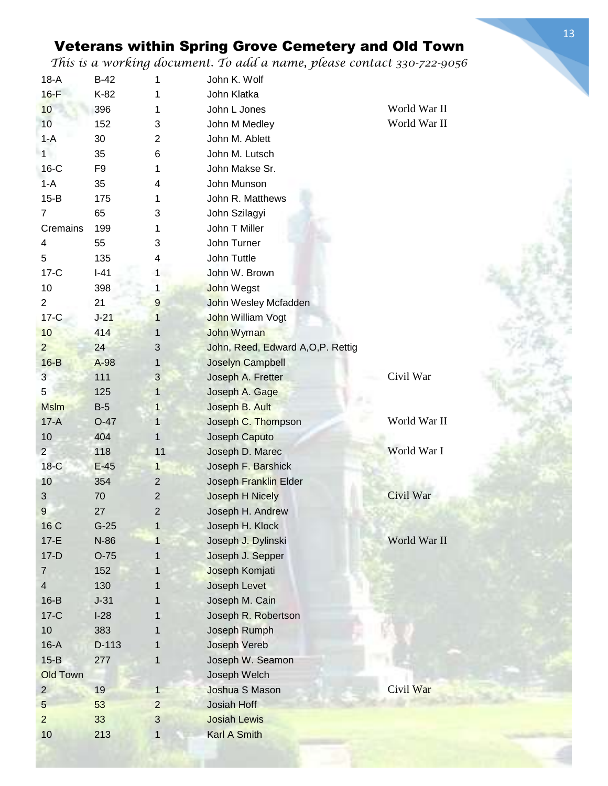*This is a working document. To add a name, please contact 330-722-9056*

| $18-A$          | $B-42$         | 1              | John K. Wolf                       |              |
|-----------------|----------------|----------------|------------------------------------|--------------|
| $16-F$          | K-82           |                | John Klatka                        |              |
| 10              | 396            | 1              | John L Jones                       | World War II |
| 10              | 152            | 3              | John M Medley                      | World War II |
| $1-A$           | 30             | $\overline{c}$ | John M. Ablett                     |              |
| 1               | 35             | 6              | John M. Lutsch                     |              |
| $16-C$          | F <sub>9</sub> | 1              | John Makse Sr.                     |              |
| $1-A$           | 35             | 4              | John Munson                        |              |
| $15-B$          | 175            | 1              | John R. Matthews                   |              |
| $\overline{7}$  | 65             | 3              | John Szilagyi                      |              |
| Cremains        | 199            | 1              | John T Miller                      |              |
| 4               | 55             | 3              | John Turner                        |              |
| 5               | 135            | 4              | John Tuttle                        |              |
| $17-C$          | $I-41$         | 1              | John W. Brown                      |              |
| 10              | 398            | 1              | John Wegst                         |              |
| $\overline{2}$  | 21             | $9\,$          | John Wesley Mcfadden               |              |
| $17-C$          | $J-21$         | $\mathbf{1}$   | <b>John William Vogt</b>           |              |
| 10              | 414            | 1              | John Wyman                         |              |
| $\overline{2}$  | 24             | 3              | John, Reed, Edward A, O, P. Rettig |              |
| $16-B$          | A-98           | 1              | Joselyn Campbell                   |              |
| 3               | 111            | $\mathfrak{B}$ | Joseph A. Fretter                  | Civil War    |
| $\overline{5}$  | 125            | $\mathbf{1}$   | Joseph A. Gage                     |              |
| <b>Mslm</b>     | $B-5$          | 1              | Joseph B. Ault                     |              |
| $17-A$          | $O-47$         | 1              | Joseph C. Thompson                 | World War II |
| 10              | 404            | 1              | Joseph Caputo                      |              |
| 2 <sup>2</sup>  | 118            | 11             | Joseph D. Marec                    | World War I  |
| $18-C$          | $E-45$         | $\mathbf{1}$   | Joseph F. Barshick                 |              |
| 10              | 354            | $\overline{2}$ | Joseph Franklin Elder              |              |
| $\mathfrak{S}$  | 70             | $\overline{c}$ | Joseph H Nicely                    | Civil War    |
| $\overline{9}$  | 27             | $\mathbf{2}$   | Joseph H. Andrew                   |              |
| 16 C            | $G-25$         | $\mathbf{1}$   | Joseph H. Klock                    |              |
| $17-E$          | N-86           | 1              | Joseph J. Dylinski                 | World War II |
| $17-D$          | $O-75$         | 1              | Joseph J. Sepper                   |              |
| $\overline{7}$  | 152            | 1              | Joseph Komjati                     |              |
| $\overline{4}$  | 130            | 1              | Joseph Levet                       |              |
| $16-B$          | $J-31$         |                | Joseph M. Cain                     |              |
| $17-C$          | $I-28$         | 1<br>1         | Joseph R. Robertson                |              |
| 10              | 383            |                | Joseph Rumph                       |              |
| $16-A$          | D-113          | 1              | Joseph Vereb                       |              |
|                 |                |                |                                    |              |
| $15-B$          | 277            | 1              | Joseph W. Seamon                   |              |
| <b>Old Town</b> |                |                | Joseph Welch                       | Civil War    |
| $\overline{2}$  | 19             | 1              | Joshua S Mason                     |              |
| 5               | 53             | $\overline{2}$ | <b>Josiah Hoff</b>                 |              |
| $\overline{2}$  | 33             | 3              | <b>Josiah Lewis</b>                |              |
| 10              | 213            | $\mathbf{1}$   | <b>Karl A Smith</b>                |              |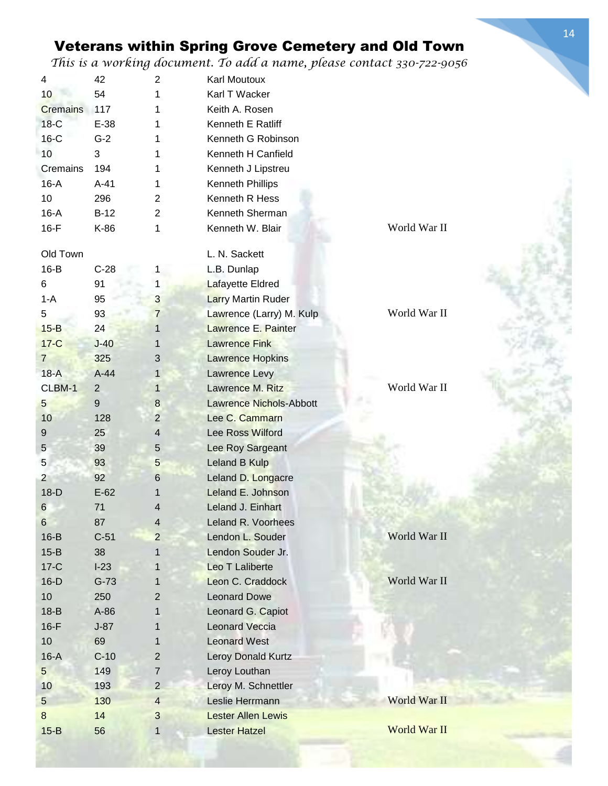*This is a working document. To add a name, please contact 330-722-9056*

| 4               | 42             | $\overline{2}$          | Karl Moutoux                   |              |
|-----------------|----------------|-------------------------|--------------------------------|--------------|
| 10              | 54             | 1                       | Karl T Wacker                  |              |
| <b>Cremains</b> | 117            | 1                       | Keith A. Rosen                 |              |
| $18-C$          | $E-38$         | 1                       | Kenneth E Ratliff              |              |
| $16-C$          | $G-2$          | 1                       | Kenneth G Robinson             |              |
| 10 <sup>1</sup> | 3              | 1                       | Kenneth H Canfield             |              |
| Cremains        | 194            | 1                       | Kenneth J Lipstreu             |              |
| $16-A$          | $A-41$         | 1                       | Kenneth Phillips               |              |
| 10              | 296            | $\overline{2}$          | Kenneth R Hess                 |              |
| $16-A$          | $B-12$         | $\overline{2}$          | Kenneth Sherman                |              |
| $16-F$          | K-86           | 1                       | Kenneth W. Blair               | World War II |
|                 |                |                         |                                |              |
| Old Town        |                |                         | L. N. Sackett                  |              |
| $16-B$          | $C-28$         | 1                       | L.B. Dunlap                    |              |
| 6               | 91             | 1                       | Lafayette Eldred               |              |
| $1-A$           | 95             | 3                       | <b>Larry Martin Ruder</b>      |              |
| 5               | 93             | 7                       | Lawrence (Larry) M. Kulp       | World War II |
| $15-B$          | 24             | 1                       | Lawrence E. Painter            |              |
| $17-C$          | $J-40$         | 1                       | <b>Lawrence Fink</b>           |              |
| $\overline{7}$  | 325            | 3                       | <b>Lawrence Hopkins</b>        |              |
| $18-A$          | $A-44$         | 1                       | <b>Lawrence Levy</b>           |              |
| CLBM-1          | $\overline{2}$ | $\mathbf{1}$            | Lawrence M. Ritz               | World War II |
| 5               | 9              | $\bf 8$                 | <b>Lawrence Nichols-Abbott</b> |              |
| 10              | 128            | $\overline{2}$          | Lee C. Cammarn                 |              |
| 9               | 25             | $\overline{\mathbf{4}}$ | <b>Lee Ross Wilford</b>        |              |
| 5               | 39             | $\sqrt{5}$              | Lee Roy Sargeant               |              |
| 5               | 93             | 5                       | Leland B Kulp                  |              |
| $\overline{2}$  | 92             | 6                       | Leland D. Longacre             |              |
| $18-D$          | $E-62$         | 1                       | Leland E. Johnson              |              |
| 6               | 71             | 4                       | Leland J. Einhart              |              |
| 6               | 87             | $\overline{4}$          | Leland R. Voorhees             |              |
| $16-B$          | $C-51$         | $\overline{c}$          | Lendon L. Souder               | World War II |
| $15 - B$        | 38             |                         | Lendon Souder Jr.              |              |
| $17-C$          | $I-23$         | 1                       | Leo T Laliberte                |              |
| $16-D$          | $G-73$         | 1                       | Leon C. Craddock               | World War II |
| 10              | 250            | 2                       | <b>Leonard Dowe</b>            |              |
| $18-B$          | A-86           | 1                       | Leonard G. Capiot              |              |
| $16-F$          | $J-87$         | 1                       | <b>Leonard Veccia</b>          |              |
| 10              | 69             | 1                       | <b>Leonard West</b>            |              |
| $16-A$          | $C-10$         | $\overline{2}$          | Leroy Donald Kurtz             |              |
| $5\phantom{.0}$ | 149            | $\overline{7}$          | Leroy Louthan                  |              |
| 10              | 193            | $\overline{2}$          | Leroy M. Schnettler            |              |
| $5\overline{)}$ | 130            | $\overline{4}$          | Leslie Herrmann                | World War II |
| 8               | 14             | 3                       | <b>Lester Allen Lewis</b>      |              |
| $15-B$          | 56             | $\mathbf{1}$            | <b>Lester Hatzel</b>           | World War II |
|                 |                |                         |                                |              |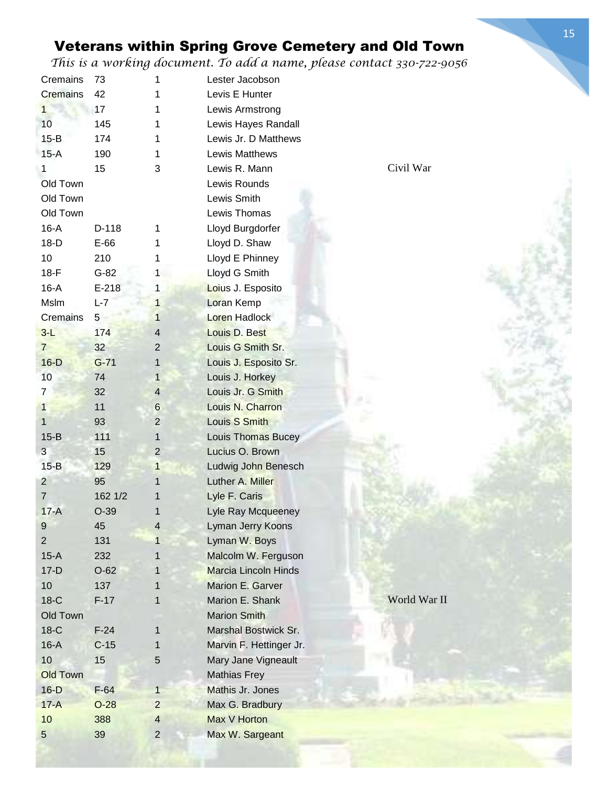*This is a working document. To add a name, please contact 330-722-9056*

| Cremains        | 73             | 1                 | Lester Jacobson                         |              |
|-----------------|----------------|-------------------|-----------------------------------------|--------------|
| Cremains        | 42             |                   | Levis E Hunter                          |              |
| 1               | 17             | 1                 | Lewis Armstrong                         |              |
| 10 <sup>1</sup> | 145            |                   | Lewis Hayes Randall                     |              |
| $15-B$          | 174            |                   | Lewis Jr. D Matthews                    |              |
| $15-A$          | 190            | 1                 | <b>Lewis Matthews</b>                   |              |
| 1               | 15             | 3                 | Lewis R. Mann                           | Civil War    |
| Old Town        |                |                   | Lewis Rounds                            |              |
| Old Town        |                |                   | Lewis Smith                             |              |
| Old Town        |                |                   | Lewis Thomas                            |              |
| $16-A$          | D-118          | 1                 | Lloyd Burgdorfer                        |              |
| $18-D$          | $E-66$         |                   | Lloyd D. Shaw                           |              |
| 10              | 210            |                   | Lloyd E Phinney                         |              |
| $18-F$          | $G-82$         | 1                 | Lloyd G Smith                           |              |
| $16-A$          | $E-218$        | 1                 | Loius J. Esposito                       |              |
| Mslm            | $L-7$          | 1                 | Loran Kemp                              |              |
| Cremains        | 5 <sup>5</sup> | 1                 | <b>Loren Hadlock</b>                    |              |
| $3-L$           | 174            | 4                 | Louis D. Best                           |              |
| $7\phantom{.0}$ | 32             | $\overline{2}$    | Louis G Smith Sr.                       |              |
| $16-D$          | $G-71$         | 1                 | Louis J. Esposito Sr.                   |              |
| 10              | 74             | 1                 | Louis J. Horkey                         |              |
| 7               | 32             | $\overline{4}$    | Louis Jr. G Smith                       |              |
| $\mathbf 1$     | 11             | $\,6$             | Louis N. Charron                        |              |
| $\mathbf{1}$    | 93             | $\overline{2}$    | Louis S Smith                           |              |
| $15-B$          | 111            | 1                 | Louis Thomas Bucey                      |              |
| 3               | 15             | $\overline{2}$    | Lucius O. Brown                         |              |
| $15-B$          | 129            |                   |                                         |              |
| $\overline{c}$  | 95             | $\mathbf{1}$<br>1 | Ludwig John Benesch<br>Luther A. Miller |              |
|                 | 162 1/2        |                   |                                         |              |
| 7               |                |                   | Lyle F. Caris                           |              |
| $17-A$          | $O-39$         | 1                 | Lyle Ray Mcqueeney                      |              |
| 9               | 45             | 4                 | Lyman Jerry Koons                       |              |
| $\overline{2}$  | 131            | 1                 | Lyman W. Boys                           |              |
| $15-A$          | 232            | 1                 | Malcolm W. Ferguson                     |              |
| $17-D$          | $O-62$         | 1                 | <b>Marcia Lincoln Hinds</b>             |              |
| 10              | 137            | 1                 | Marion E. Garver                        |              |
| $18-C$          | $F-17$         | 1                 | Marion E. Shank                         | World War II |
| Old Town        |                |                   | <b>Marion Smith</b>                     |              |
| $18-C$          | $F-24$         | $\mathbf{1}$      | Marshal Bostwick Sr.                    |              |
| $16-A$          | $C-15$         | 1                 | Marvin F. Hettinger Jr.                 |              |
| 10              | 15             | 5                 | Mary Jane Vigneault                     |              |
| <b>Old Town</b> |                |                   | <b>Mathias Frey</b>                     |              |
| $16-D$          | $F-64$         | $\mathbf{1}$      | Mathis Jr. Jones                        |              |
| $17-A$          | $O-28$         | $\overline{2}$    | Max G. Bradbury                         |              |
| 10              | 388            | 4                 | Max V Horton                            |              |
| 5               | 39             | $\overline{2}$    | Max W. Sargeant                         |              |

 $1.30224$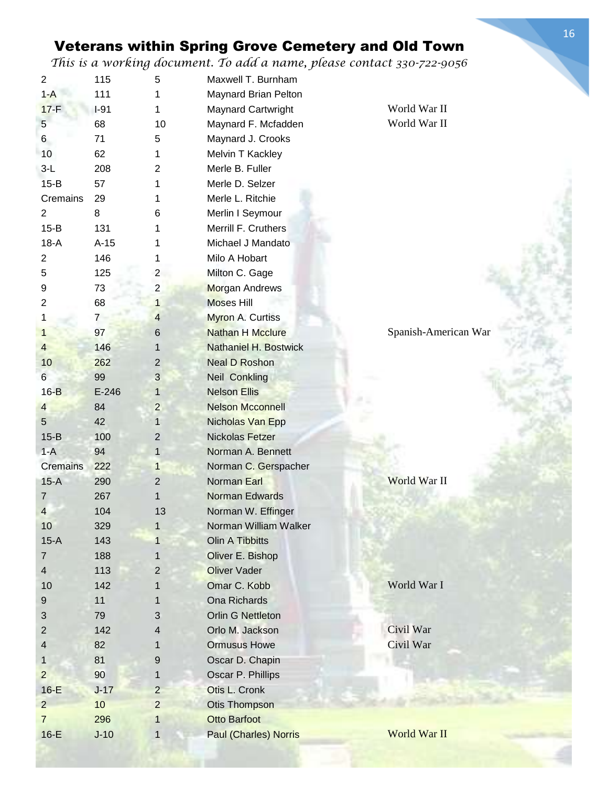*This is a working document. To add a name, please contact 330-722-9056*

|                | $\bm{\omega}$  |                |                              |                      |
|----------------|----------------|----------------|------------------------------|----------------------|
| $\overline{2}$ | 115            | 5              | Maxwell T. Burnham           |                      |
| $1 - A$        | 111            | 1              | Maynard Brian Pelton         |                      |
| $17-F$         | $I-91$         | 1              | Maynard Cartwright           | World War II         |
| $\sqrt{5}$     | 68             | 10             | Maynard F. Mcfadden          | World War II         |
| 6              | 71             | 5              | Maynard J. Crooks            |                      |
| 10             | 62             | 1              | Melvin T Kackley             |                      |
| $3-L$          | 208            | 2              | Merle B. Fuller              |                      |
| $15-B$         | 57             | 1              | Merle D. Selzer              |                      |
| Cremains       | 29             | 1              | Merle L. Ritchie             |                      |
| $\overline{2}$ | 8              | 6              | Merlin I Seymour             |                      |
| $15-B$         | 131            |                | Merrill F. Cruthers          |                      |
| $18-A$         | $A-15$         |                | Michael J Mandato            |                      |
| $\overline{2}$ | 146            | 1              | Milo A Hobart                |                      |
| 5              | 125            | $\overline{2}$ | Milton C. Gage               |                      |
| 9              | 73             | $\overline{2}$ | <b>Morgan Andrews</b>        |                      |
| $\overline{2}$ | 68             | $\mathbf{1}$   | <b>Moses Hill</b>            |                      |
| 1              | $\overline{7}$ | $\overline{4}$ | Myron A. Curtiss             |                      |
| 1              | 97             | $6\,$          | <b>Nathan H Mcclure</b>      | Spanish-American War |
| $\overline{4}$ | 146            | 1              | <b>Nathaniel H. Bostwick</b> |                      |
| 10             | 262            | 2              | <b>Neal D Roshon</b>         |                      |
| 6              | 99             | $\mathfrak{B}$ | <b>Neil Conkling</b>         |                      |
| $16-B$         | $E-246$        | 1              | <b>Nelson Ellis</b>          |                      |
| $\overline{4}$ | 84             | $\mathbf{2}$   | <b>Nelson Mcconnell</b>      |                      |
| $\sqrt{5}$     | 42             | 1              | Nicholas Van Epp             |                      |
| $15-B$         | 100            | $\overline{2}$ | <b>Nickolas Fetzer</b>       |                      |
| $1-A$          | 94             | $\mathbf{1}$   | Norman A. Bennett            |                      |
| Cremains       | 222            | $\mathbf{1}$   | Norman C. Gerspacher         |                      |
| $15-A$         | 290            | 2              | Norman Earl                  | World War II         |
| $\overline{7}$ | 267            | 1              | <b>Norman Edwards</b>        |                      |
| $\Delta$       | 104            | 13             | Norman W. Effinger           |                      |
| 10             | 329            | $\mathbf{1}$   | Norman William Walker        |                      |
| $15-A$         | 143            | $\mathbf{1}$   | Olin A Tibbitts              |                      |
| $\overline{7}$ | 188            | 1              | Oliver E. Bishop             |                      |
| 4              | 113            | 2              | <b>Oliver Vader</b>          |                      |
|                |                |                | Omar C. Kobb                 | World War I          |
| 10             | 142            | 1              |                              |                      |
| $9\,$          | 11             | 1              | Ona Richards                 |                      |
| $\mathfrak{S}$ | 79             | 3              | Orlin G Nettleton            |                      |
| 2              | 142            | 4              | Orlo M. Jackson              | Civil War            |
| 4              | 82             | 1              | <b>Ormusus Howe</b>          | Civil War            |
| 1              | 81             | $9\,$          | Oscar D. Chapin              |                      |
| $\overline{2}$ | 90             | 1              | Oscar P. Phillips            |                      |
| $16-E$         | $J-17$         | $\overline{2}$ | Otis L. Cronk                |                      |
| $\overline{2}$ | 10             | $\overline{2}$ | <b>Otis Thompson</b>         |                      |
| $\overline{7}$ | 296            | 1              | <b>Otto Barfoot</b>          |                      |
| $16-E$         | $J-10$         | 1              | <b>Paul (Charles) Norris</b> | World War II         |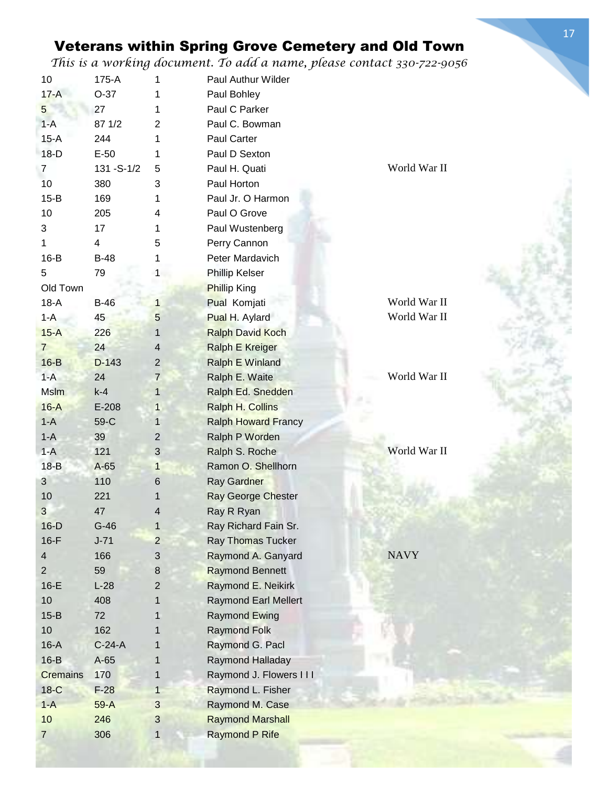*This is a working document. To add a name, please contact 330-722-9056*

| $17-A$<br>$O-37$<br>Paul Bohley<br>1<br>Paul C Parker<br>5<br>27<br>1<br>Paul C. Bowman<br>87 1/2<br>2<br>$1-A$<br>$15-A$<br>244<br>Paul Carter<br>1<br>$18-D$<br>$E-50$<br>Paul D Sexton<br>1<br>World War II<br>131 - S-1/2<br>Paul H. Quati<br>$\overline{7}$<br>5<br>10<br>380<br>3<br>Paul Horton<br>$15-B$<br>169<br>Paul Jr. O Harmon<br>1<br>10<br>205<br>Paul O Grove<br>4<br>17<br>Paul Wustenberg<br>3<br>1<br>5<br>Perry Cannon<br>1<br>$\overline{\mathbf{4}}$<br>Peter Mardavich<br>$16-B$<br>$B-48$<br>1<br>5<br>79<br>Phillip Kelser<br>$\mathbf{1}$<br>Old Town<br><b>Phillip King</b><br>World War II<br>$18-A$<br>$B-46$<br>$\mathbf{1}$<br>Pual Komjati<br>World War II<br>$1 - A$<br>45<br>5<br>Pual H. Aylard<br>$15-A$<br>226<br>$\mathbf{1}$<br><b>Ralph David Koch</b><br>24<br><b>Ralph E Kreiger</b><br>$\overline{7}$<br>$\overline{4}$<br>$16-B$<br>$D-143$<br>$\overline{2}$<br><b>Ralph E Winland</b><br>World War II<br>$1-A$<br>24<br>$\overline{7}$<br>Ralph E. Waite<br><b>Mslm</b><br>$k-4$<br>Ralph Ed. Snedden<br>$\mathbf{1}$<br>$16-A$<br>$E-208$<br>Ralph H. Collins<br>1<br>$1-A$<br>59-C<br><b>Ralph Howard Francy</b><br>$\mathbf{1}$<br>$1-A$<br>39<br>Ralph P Worden<br>2<br>World War II<br>3<br>$1-A$<br>121<br>Ralph S. Roche<br>$18-B$<br>$A-65$<br>Ramon O. Shellhorn<br>$\mathbf{1}$<br>110<br>$\mathbf{3}$<br>$6\phantom{1}$<br>Ray Gardner<br>10<br>221<br>Ray George Chester<br>1<br>3<br>47<br>4<br>Ray R Ryan<br>$16-D$<br>$G-46$<br>$\mathbf{1}$<br>Ray Richard Fain Sr.<br>$16-F$<br>$\overline{2}$<br>$J - 71$<br><b>Ray Thomas Tucker</b><br><b>NAVY</b><br>166<br>$\sqrt{3}$<br>Raymond A. Ganyard<br>4<br>59<br>8<br><b>Raymond Bennett</b><br>$\overline{2}$<br>Raymond E. Neikirk<br>$16-E$<br>$L-28$<br>$\overline{2}$<br>10<br>408<br><b>Raymond Earl Mellert</b><br>1<br>$15-B$<br>72<br>Raymond Ewing<br>1<br>10<br>162<br><b>Raymond Folk</b><br>1<br>$C-24-A$<br>Raymond G. Pacl<br>$16-A$<br>1<br>$16-B$<br>$A-65$<br>Raymond Halladay<br>1<br>170<br>Raymond J. Flowers III<br><b>Cremains</b><br>1<br>$18-C$<br>$\mathbf{1}$<br>Raymond L. Fisher<br>$F-28$<br>$1-A$<br>3<br>Raymond M. Case<br>$59-A$<br>10<br>$\sqrt{3}$<br>246<br><b>Raymond Marshall</b><br><b>Raymond P Rife</b><br>306<br>$\mathbf{1}$<br>$\overline{7}$ | 10 | 175-A | 1 | Paul Authur Wilder |  |
|----------------------------------------------------------------------------------------------------------------------------------------------------------------------------------------------------------------------------------------------------------------------------------------------------------------------------------------------------------------------------------------------------------------------------------------------------------------------------------------------------------------------------------------------------------------------------------------------------------------------------------------------------------------------------------------------------------------------------------------------------------------------------------------------------------------------------------------------------------------------------------------------------------------------------------------------------------------------------------------------------------------------------------------------------------------------------------------------------------------------------------------------------------------------------------------------------------------------------------------------------------------------------------------------------------------------------------------------------------------------------------------------------------------------------------------------------------------------------------------------------------------------------------------------------------------------------------------------------------------------------------------------------------------------------------------------------------------------------------------------------------------------------------------------------------------------------------------------------------------------------------------------------------------------------------------------------------------------------------------------------------------------------------------------------------------------------------------------------------------------------------------------------------------------------------------------------------------------------------------------------------------------------------------------------------|----|-------|---|--------------------|--|
|                                                                                                                                                                                                                                                                                                                                                                                                                                                                                                                                                                                                                                                                                                                                                                                                                                                                                                                                                                                                                                                                                                                                                                                                                                                                                                                                                                                                                                                                                                                                                                                                                                                                                                                                                                                                                                                                                                                                                                                                                                                                                                                                                                                                                                                                                                          |    |       |   |                    |  |
|                                                                                                                                                                                                                                                                                                                                                                                                                                                                                                                                                                                                                                                                                                                                                                                                                                                                                                                                                                                                                                                                                                                                                                                                                                                                                                                                                                                                                                                                                                                                                                                                                                                                                                                                                                                                                                                                                                                                                                                                                                                                                                                                                                                                                                                                                                          |    |       |   |                    |  |
|                                                                                                                                                                                                                                                                                                                                                                                                                                                                                                                                                                                                                                                                                                                                                                                                                                                                                                                                                                                                                                                                                                                                                                                                                                                                                                                                                                                                                                                                                                                                                                                                                                                                                                                                                                                                                                                                                                                                                                                                                                                                                                                                                                                                                                                                                                          |    |       |   |                    |  |
|                                                                                                                                                                                                                                                                                                                                                                                                                                                                                                                                                                                                                                                                                                                                                                                                                                                                                                                                                                                                                                                                                                                                                                                                                                                                                                                                                                                                                                                                                                                                                                                                                                                                                                                                                                                                                                                                                                                                                                                                                                                                                                                                                                                                                                                                                                          |    |       |   |                    |  |
|                                                                                                                                                                                                                                                                                                                                                                                                                                                                                                                                                                                                                                                                                                                                                                                                                                                                                                                                                                                                                                                                                                                                                                                                                                                                                                                                                                                                                                                                                                                                                                                                                                                                                                                                                                                                                                                                                                                                                                                                                                                                                                                                                                                                                                                                                                          |    |       |   |                    |  |
|                                                                                                                                                                                                                                                                                                                                                                                                                                                                                                                                                                                                                                                                                                                                                                                                                                                                                                                                                                                                                                                                                                                                                                                                                                                                                                                                                                                                                                                                                                                                                                                                                                                                                                                                                                                                                                                                                                                                                                                                                                                                                                                                                                                                                                                                                                          |    |       |   |                    |  |
|                                                                                                                                                                                                                                                                                                                                                                                                                                                                                                                                                                                                                                                                                                                                                                                                                                                                                                                                                                                                                                                                                                                                                                                                                                                                                                                                                                                                                                                                                                                                                                                                                                                                                                                                                                                                                                                                                                                                                                                                                                                                                                                                                                                                                                                                                                          |    |       |   |                    |  |
|                                                                                                                                                                                                                                                                                                                                                                                                                                                                                                                                                                                                                                                                                                                                                                                                                                                                                                                                                                                                                                                                                                                                                                                                                                                                                                                                                                                                                                                                                                                                                                                                                                                                                                                                                                                                                                                                                                                                                                                                                                                                                                                                                                                                                                                                                                          |    |       |   |                    |  |
|                                                                                                                                                                                                                                                                                                                                                                                                                                                                                                                                                                                                                                                                                                                                                                                                                                                                                                                                                                                                                                                                                                                                                                                                                                                                                                                                                                                                                                                                                                                                                                                                                                                                                                                                                                                                                                                                                                                                                                                                                                                                                                                                                                                                                                                                                                          |    |       |   |                    |  |
|                                                                                                                                                                                                                                                                                                                                                                                                                                                                                                                                                                                                                                                                                                                                                                                                                                                                                                                                                                                                                                                                                                                                                                                                                                                                                                                                                                                                                                                                                                                                                                                                                                                                                                                                                                                                                                                                                                                                                                                                                                                                                                                                                                                                                                                                                                          |    |       |   |                    |  |
|                                                                                                                                                                                                                                                                                                                                                                                                                                                                                                                                                                                                                                                                                                                                                                                                                                                                                                                                                                                                                                                                                                                                                                                                                                                                                                                                                                                                                                                                                                                                                                                                                                                                                                                                                                                                                                                                                                                                                                                                                                                                                                                                                                                                                                                                                                          |    |       |   |                    |  |
|                                                                                                                                                                                                                                                                                                                                                                                                                                                                                                                                                                                                                                                                                                                                                                                                                                                                                                                                                                                                                                                                                                                                                                                                                                                                                                                                                                                                                                                                                                                                                                                                                                                                                                                                                                                                                                                                                                                                                                                                                                                                                                                                                                                                                                                                                                          |    |       |   |                    |  |
|                                                                                                                                                                                                                                                                                                                                                                                                                                                                                                                                                                                                                                                                                                                                                                                                                                                                                                                                                                                                                                                                                                                                                                                                                                                                                                                                                                                                                                                                                                                                                                                                                                                                                                                                                                                                                                                                                                                                                                                                                                                                                                                                                                                                                                                                                                          |    |       |   |                    |  |
|                                                                                                                                                                                                                                                                                                                                                                                                                                                                                                                                                                                                                                                                                                                                                                                                                                                                                                                                                                                                                                                                                                                                                                                                                                                                                                                                                                                                                                                                                                                                                                                                                                                                                                                                                                                                                                                                                                                                                                                                                                                                                                                                                                                                                                                                                                          |    |       |   |                    |  |
|                                                                                                                                                                                                                                                                                                                                                                                                                                                                                                                                                                                                                                                                                                                                                                                                                                                                                                                                                                                                                                                                                                                                                                                                                                                                                                                                                                                                                                                                                                                                                                                                                                                                                                                                                                                                                                                                                                                                                                                                                                                                                                                                                                                                                                                                                                          |    |       |   |                    |  |
|                                                                                                                                                                                                                                                                                                                                                                                                                                                                                                                                                                                                                                                                                                                                                                                                                                                                                                                                                                                                                                                                                                                                                                                                                                                                                                                                                                                                                                                                                                                                                                                                                                                                                                                                                                                                                                                                                                                                                                                                                                                                                                                                                                                                                                                                                                          |    |       |   |                    |  |
|                                                                                                                                                                                                                                                                                                                                                                                                                                                                                                                                                                                                                                                                                                                                                                                                                                                                                                                                                                                                                                                                                                                                                                                                                                                                                                                                                                                                                                                                                                                                                                                                                                                                                                                                                                                                                                                                                                                                                                                                                                                                                                                                                                                                                                                                                                          |    |       |   |                    |  |
|                                                                                                                                                                                                                                                                                                                                                                                                                                                                                                                                                                                                                                                                                                                                                                                                                                                                                                                                                                                                                                                                                                                                                                                                                                                                                                                                                                                                                                                                                                                                                                                                                                                                                                                                                                                                                                                                                                                                                                                                                                                                                                                                                                                                                                                                                                          |    |       |   |                    |  |
|                                                                                                                                                                                                                                                                                                                                                                                                                                                                                                                                                                                                                                                                                                                                                                                                                                                                                                                                                                                                                                                                                                                                                                                                                                                                                                                                                                                                                                                                                                                                                                                                                                                                                                                                                                                                                                                                                                                                                                                                                                                                                                                                                                                                                                                                                                          |    |       |   |                    |  |
|                                                                                                                                                                                                                                                                                                                                                                                                                                                                                                                                                                                                                                                                                                                                                                                                                                                                                                                                                                                                                                                                                                                                                                                                                                                                                                                                                                                                                                                                                                                                                                                                                                                                                                                                                                                                                                                                                                                                                                                                                                                                                                                                                                                                                                                                                                          |    |       |   |                    |  |
|                                                                                                                                                                                                                                                                                                                                                                                                                                                                                                                                                                                                                                                                                                                                                                                                                                                                                                                                                                                                                                                                                                                                                                                                                                                                                                                                                                                                                                                                                                                                                                                                                                                                                                                                                                                                                                                                                                                                                                                                                                                                                                                                                                                                                                                                                                          |    |       |   |                    |  |
|                                                                                                                                                                                                                                                                                                                                                                                                                                                                                                                                                                                                                                                                                                                                                                                                                                                                                                                                                                                                                                                                                                                                                                                                                                                                                                                                                                                                                                                                                                                                                                                                                                                                                                                                                                                                                                                                                                                                                                                                                                                                                                                                                                                                                                                                                                          |    |       |   |                    |  |
|                                                                                                                                                                                                                                                                                                                                                                                                                                                                                                                                                                                                                                                                                                                                                                                                                                                                                                                                                                                                                                                                                                                                                                                                                                                                                                                                                                                                                                                                                                                                                                                                                                                                                                                                                                                                                                                                                                                                                                                                                                                                                                                                                                                                                                                                                                          |    |       |   |                    |  |
|                                                                                                                                                                                                                                                                                                                                                                                                                                                                                                                                                                                                                                                                                                                                                                                                                                                                                                                                                                                                                                                                                                                                                                                                                                                                                                                                                                                                                                                                                                                                                                                                                                                                                                                                                                                                                                                                                                                                                                                                                                                                                                                                                                                                                                                                                                          |    |       |   |                    |  |
|                                                                                                                                                                                                                                                                                                                                                                                                                                                                                                                                                                                                                                                                                                                                                                                                                                                                                                                                                                                                                                                                                                                                                                                                                                                                                                                                                                                                                                                                                                                                                                                                                                                                                                                                                                                                                                                                                                                                                                                                                                                                                                                                                                                                                                                                                                          |    |       |   |                    |  |
|                                                                                                                                                                                                                                                                                                                                                                                                                                                                                                                                                                                                                                                                                                                                                                                                                                                                                                                                                                                                                                                                                                                                                                                                                                                                                                                                                                                                                                                                                                                                                                                                                                                                                                                                                                                                                                                                                                                                                                                                                                                                                                                                                                                                                                                                                                          |    |       |   |                    |  |
|                                                                                                                                                                                                                                                                                                                                                                                                                                                                                                                                                                                                                                                                                                                                                                                                                                                                                                                                                                                                                                                                                                                                                                                                                                                                                                                                                                                                                                                                                                                                                                                                                                                                                                                                                                                                                                                                                                                                                                                                                                                                                                                                                                                                                                                                                                          |    |       |   |                    |  |
|                                                                                                                                                                                                                                                                                                                                                                                                                                                                                                                                                                                                                                                                                                                                                                                                                                                                                                                                                                                                                                                                                                                                                                                                                                                                                                                                                                                                                                                                                                                                                                                                                                                                                                                                                                                                                                                                                                                                                                                                                                                                                                                                                                                                                                                                                                          |    |       |   |                    |  |
|                                                                                                                                                                                                                                                                                                                                                                                                                                                                                                                                                                                                                                                                                                                                                                                                                                                                                                                                                                                                                                                                                                                                                                                                                                                                                                                                                                                                                                                                                                                                                                                                                                                                                                                                                                                                                                                                                                                                                                                                                                                                                                                                                                                                                                                                                                          |    |       |   |                    |  |
|                                                                                                                                                                                                                                                                                                                                                                                                                                                                                                                                                                                                                                                                                                                                                                                                                                                                                                                                                                                                                                                                                                                                                                                                                                                                                                                                                                                                                                                                                                                                                                                                                                                                                                                                                                                                                                                                                                                                                                                                                                                                                                                                                                                                                                                                                                          |    |       |   |                    |  |
|                                                                                                                                                                                                                                                                                                                                                                                                                                                                                                                                                                                                                                                                                                                                                                                                                                                                                                                                                                                                                                                                                                                                                                                                                                                                                                                                                                                                                                                                                                                                                                                                                                                                                                                                                                                                                                                                                                                                                                                                                                                                                                                                                                                                                                                                                                          |    |       |   |                    |  |
|                                                                                                                                                                                                                                                                                                                                                                                                                                                                                                                                                                                                                                                                                                                                                                                                                                                                                                                                                                                                                                                                                                                                                                                                                                                                                                                                                                                                                                                                                                                                                                                                                                                                                                                                                                                                                                                                                                                                                                                                                                                                                                                                                                                                                                                                                                          |    |       |   |                    |  |
|                                                                                                                                                                                                                                                                                                                                                                                                                                                                                                                                                                                                                                                                                                                                                                                                                                                                                                                                                                                                                                                                                                                                                                                                                                                                                                                                                                                                                                                                                                                                                                                                                                                                                                                                                                                                                                                                                                                                                                                                                                                                                                                                                                                                                                                                                                          |    |       |   |                    |  |
|                                                                                                                                                                                                                                                                                                                                                                                                                                                                                                                                                                                                                                                                                                                                                                                                                                                                                                                                                                                                                                                                                                                                                                                                                                                                                                                                                                                                                                                                                                                                                                                                                                                                                                                                                                                                                                                                                                                                                                                                                                                                                                                                                                                                                                                                                                          |    |       |   |                    |  |
|                                                                                                                                                                                                                                                                                                                                                                                                                                                                                                                                                                                                                                                                                                                                                                                                                                                                                                                                                                                                                                                                                                                                                                                                                                                                                                                                                                                                                                                                                                                                                                                                                                                                                                                                                                                                                                                                                                                                                                                                                                                                                                                                                                                                                                                                                                          |    |       |   |                    |  |
|                                                                                                                                                                                                                                                                                                                                                                                                                                                                                                                                                                                                                                                                                                                                                                                                                                                                                                                                                                                                                                                                                                                                                                                                                                                                                                                                                                                                                                                                                                                                                                                                                                                                                                                                                                                                                                                                                                                                                                                                                                                                                                                                                                                                                                                                                                          |    |       |   |                    |  |
|                                                                                                                                                                                                                                                                                                                                                                                                                                                                                                                                                                                                                                                                                                                                                                                                                                                                                                                                                                                                                                                                                                                                                                                                                                                                                                                                                                                                                                                                                                                                                                                                                                                                                                                                                                                                                                                                                                                                                                                                                                                                                                                                                                                                                                                                                                          |    |       |   |                    |  |
|                                                                                                                                                                                                                                                                                                                                                                                                                                                                                                                                                                                                                                                                                                                                                                                                                                                                                                                                                                                                                                                                                                                                                                                                                                                                                                                                                                                                                                                                                                                                                                                                                                                                                                                                                                                                                                                                                                                                                                                                                                                                                                                                                                                                                                                                                                          |    |       |   |                    |  |
|                                                                                                                                                                                                                                                                                                                                                                                                                                                                                                                                                                                                                                                                                                                                                                                                                                                                                                                                                                                                                                                                                                                                                                                                                                                                                                                                                                                                                                                                                                                                                                                                                                                                                                                                                                                                                                                                                                                                                                                                                                                                                                                                                                                                                                                                                                          |    |       |   |                    |  |
|                                                                                                                                                                                                                                                                                                                                                                                                                                                                                                                                                                                                                                                                                                                                                                                                                                                                                                                                                                                                                                                                                                                                                                                                                                                                                                                                                                                                                                                                                                                                                                                                                                                                                                                                                                                                                                                                                                                                                                                                                                                                                                                                                                                                                                                                                                          |    |       |   |                    |  |
|                                                                                                                                                                                                                                                                                                                                                                                                                                                                                                                                                                                                                                                                                                                                                                                                                                                                                                                                                                                                                                                                                                                                                                                                                                                                                                                                                                                                                                                                                                                                                                                                                                                                                                                                                                                                                                                                                                                                                                                                                                                                                                                                                                                                                                                                                                          |    |       |   |                    |  |
|                                                                                                                                                                                                                                                                                                                                                                                                                                                                                                                                                                                                                                                                                                                                                                                                                                                                                                                                                                                                                                                                                                                                                                                                                                                                                                                                                                                                                                                                                                                                                                                                                                                                                                                                                                                                                                                                                                                                                                                                                                                                                                                                                                                                                                                                                                          |    |       |   |                    |  |
|                                                                                                                                                                                                                                                                                                                                                                                                                                                                                                                                                                                                                                                                                                                                                                                                                                                                                                                                                                                                                                                                                                                                                                                                                                                                                                                                                                                                                                                                                                                                                                                                                                                                                                                                                                                                                                                                                                                                                                                                                                                                                                                                                                                                                                                                                                          |    |       |   |                    |  |
|                                                                                                                                                                                                                                                                                                                                                                                                                                                                                                                                                                                                                                                                                                                                                                                                                                                                                                                                                                                                                                                                                                                                                                                                                                                                                                                                                                                                                                                                                                                                                                                                                                                                                                                                                                                                                                                                                                                                                                                                                                                                                                                                                                                                                                                                                                          |    |       |   |                    |  |
|                                                                                                                                                                                                                                                                                                                                                                                                                                                                                                                                                                                                                                                                                                                                                                                                                                                                                                                                                                                                                                                                                                                                                                                                                                                                                                                                                                                                                                                                                                                                                                                                                                                                                                                                                                                                                                                                                                                                                                                                                                                                                                                                                                                                                                                                                                          |    |       |   |                    |  |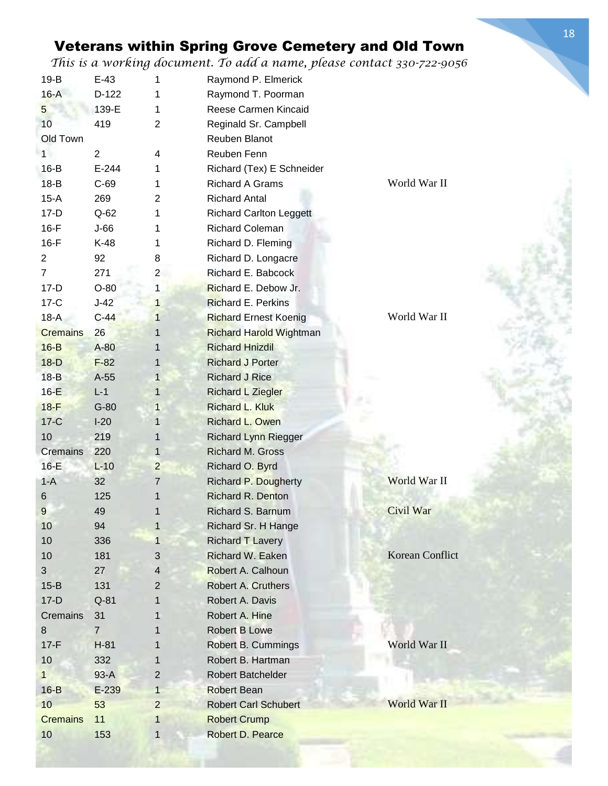*This is a working document. To add a name, please contact 330-722-9056*

| $19-B$          | $E-43$         | 1              | Raymond P. Elmerick            |                 |
|-----------------|----------------|----------------|--------------------------------|-----------------|
| $16-A$          | $D-122$        | 1              | Raymond T. Poorman             |                 |
| 5               | 139-E          | 1              | Reese Carmen Kincaid           |                 |
| 10              | 419            | $\overline{2}$ | Reginald Sr. Campbell          |                 |
| Old Town        |                |                | Reuben Blanot                  |                 |
| 1               | $\overline{2}$ | 4              | Reuben Fenn                    |                 |
| $16-B$          | $E-244$        | 1              | Richard (Tex) E Schneider      |                 |
| $18-B$          | $C-69$         | 1              | <b>Richard A Grams</b>         | World War II    |
| $15-A$          | 269            | 2              | <b>Richard Antal</b>           |                 |
| $17-D$          | $Q-62$         | 1              | <b>Richard Carlton Leggett</b> |                 |
| $16-F$          | $J-66$         | 1              | <b>Richard Coleman</b>         |                 |
| $16-F$          | K-48           | 1              | Richard D. Fleming             |                 |
| $\overline{2}$  | 92             | 8              | Richard D. Longacre            |                 |
| $\overline{7}$  | 271            | $\overline{2}$ | Richard E. Babcock             |                 |
| $17-D$          | $O-80$         | $\mathbf{1}$   | Richard E. Debow Jr.           |                 |
| $17-C$          | $J-42$         | $\mathbf{1}$   | <b>Richard E. Perkins</b>      |                 |
| $18-A$          | $C-44$         | $\mathbf{1}$   | <b>Richard Ernest Koenig</b>   | World War II    |
| <b>Cremains</b> | 26             | $\mathbf{1}$   | <b>Richard Harold Wightman</b> |                 |
| $16-B$          | A-80           | $\mathbf{1}$   | <b>Richard Hnizdil</b>         |                 |
| $18-D$          | $F-82$         | 1              | <b>Richard J Porter</b>        |                 |
| $18-B$          | A-55           | $\mathbf{1}$   | <b>Richard J Rice</b>          |                 |
| $16-E$          | $L-1$          | 1              | <b>Richard L Ziegler</b>       |                 |
| $18-F$          | $G-80$         | $\mathbf{1}$   | Richard L. Kluk                |                 |
| $17-C$          | $I-20$         | 1              | Richard L. Owen                |                 |
| 10              | 219            | $\mathbf{1}$   | <b>Richard Lynn Riegger</b>    |                 |
| <b>Cremains</b> | 220            | 1              | Richard M. Gross               |                 |
| $16-E$          | $L-10$         | $\overline{2}$ | Richard O. Byrd                |                 |
| $1-A$           | 32             | 7              | <b>Richard P. Dougherty</b>    | World War II    |
| 6               | 125            |                | <b>Richard R. Denton</b>       |                 |
| 9               | 49             |                | Richard S. Barnum              | Civil War       |
| 10              | 94             | $\mathbf{1}$   | Richard Sr. H Hange            |                 |
| 10              | 336            | $\mathbf{1}$   | <b>Richard T Lavery</b>        |                 |
| 10              | 181            | 3              | Richard W. Eaken               | Korean Conflict |
| 3               | 27             | 4              | Robert A. Calhoun              |                 |
| $15-B$          | 131            | $\overline{2}$ | <b>Robert A. Cruthers</b>      |                 |
| $17-D$          | $Q-81$         | 1              | Robert A. Davis                |                 |
| Cremains        | 31             | 1              | Robert A. Hine                 |                 |
| 8               | $\mathbf{7}$   | 1              | <b>Robert B Lowe</b>           |                 |
| $17-F$          | $H-81$         | 1              | Robert B. Cummings             | World War II    |
| 10              | 332            | 1              | Robert B. Hartman              |                 |
| $\mathbf{1}$    | $93-A$         | $\overline{2}$ | Robert Batchelder              |                 |
| $16-B$          | $E-239$        | $\mathbf{1}$   | <b>Robert Bean</b>             |                 |
| 10              | 53             | $\overline{2}$ | <b>Robert Carl Schubert</b>    | World War II    |
| <b>Cremains</b> | 11             | 1              | <b>Robert Crump</b>            |                 |
| 10              | 153            | 1              | Robert D. Pearce               |                 |
|                 |                |                |                                |                 |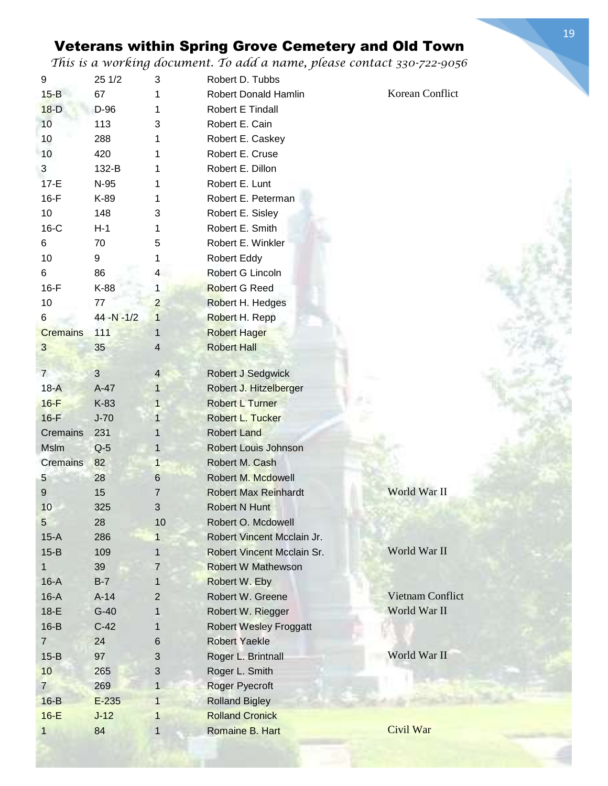| 9               | 25 1/2         | 3              | Robert D. Tubbs               |                         |
|-----------------|----------------|----------------|-------------------------------|-------------------------|
| $15 - B$        | 67             | 1              | <b>Robert Donald Hamlin</b>   | Korean Conflict         |
| $18-D$          | D-96           | 1              | Robert E Tindall              |                         |
| 10              | 113            | 3              | Robert E. Cain                |                         |
| 10              | 288            | 1              | Robert E. Caskey              |                         |
| 10              | 420            | 1              | Robert E. Cruse               |                         |
| 3               | 132-B          | 1              | Robert E. Dillon              |                         |
| $17-E$          | N-95           | 1              | Robert E. Lunt                |                         |
| $16-F$          | K-89           | 1              | Robert E. Peterman            |                         |
| 10              | 148            | 3              | Robert E. Sisley              |                         |
| $16-C$          | $H-1$          | 1              | Robert E. Smith               |                         |
| 6               | 70             | 5              | Robert E. Winkler             |                         |
| 10              | 9              | 1              | Robert Eddy                   |                         |
| 6               | 86             | 4              | Robert G Lincoln              |                         |
| $16-F$          | K-88           | 1              | <b>Robert G Reed</b>          |                         |
| 10              | 77             | $\overline{2}$ | Robert H. Hedges              |                         |
| 6               | $44 - N - 1/2$ | $\mathbf{1}$   | Robert H. Repp                |                         |
| <b>Cremains</b> | 111            | 1              | <b>Robert Hager</b>           |                         |
| $\overline{3}$  | 35             | 4              | <b>Robert Hall</b>            |                         |
|                 |                |                |                               |                         |
| $\overline{7}$  | $\overline{3}$ | $\overline{4}$ | <b>Robert J Sedgwick</b>      |                         |
| $18-A$          | $A-47$         | $\mathbf{1}$   | Robert J. Hitzelberger        |                         |
| $16-F$          | K-83           | 1              | <b>Robert L Turner</b>        |                         |
| $16-F$          | $J-70$         | $\mathbf{1}$   | Robert L. Tucker              |                         |
| Cremains        | 231            | 1              | <b>Robert Land</b>            |                         |
| <b>Mslm</b>     | $Q-5$          | 1              | <b>Robert Louis Johnson</b>   |                         |
| <b>Cremains</b> | 82             | $\mathbf{1}$   | Robert M. Cash                |                         |
| 5               | 28             | 6              | Robert M. Mcdowell            |                         |
| 9               | 15             | 7              | <b>Robert Max Reinhardt</b>   | World War II            |
| 10              | 325            | 3              | <b>Robert N Hunt</b>          |                         |
| $\sqrt{5}$      | 28             | 10             | Robert O. Mcdowell            |                         |
| $15-A$          | 286            | 1              | Robert Vincent Mcclain Jr.    |                         |
| $15-B$          | 109            | 1              | Robert Vincent Mcclain Sr.    | World War II            |
| 1               | 39             | 7              | <b>Robert W Mathewson</b>     |                         |
| $16-A$          | $B-7$          | 1              | Robert W. Eby                 |                         |
| $16-A$          | $A-14$         | 2              | Robert W. Greene              | <b>Vietnam Conflict</b> |
| $18-E$          | $G-40$         | 1              | Robert W. Riegger             | World War II            |
| $16-B$          | $C-42$         | 1              | <b>Robert Wesley Froggatt</b> |                         |
| $\overline{7}$  | 24             | 6              | <b>Robert Yaekle</b>          |                         |
| $15-B$          | 97             | 3              | Roger L. Brintnall            | World War II            |
| 10              | 265            | $\sqrt{3}$     | Roger L. Smith                |                         |
| $\overline{7}$  | 269            | $\mathbf{1}$   | Roger Pyecroft                |                         |
| $16-B$          | $E-235$        | $\mathbf{1}$   | <b>Rolland Bigley</b>         |                         |
| $16-E$          | $J-12$         | 1              | <b>Rolland Cronick</b>        |                         |
|                 | 84             | $\mathbf{1}$   | Romaine B. Hart               | Civil War               |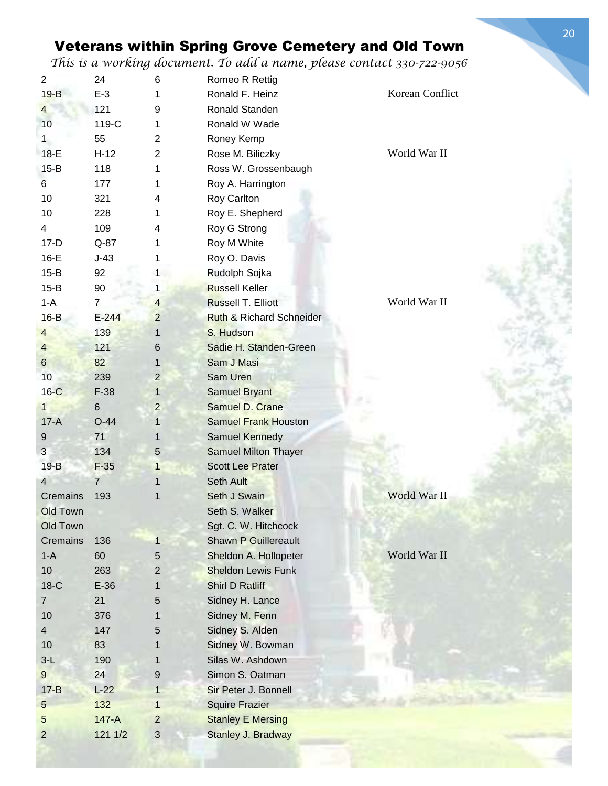| $\overline{2}$          | 24             | 6              | Romeo R Rettig                      |                 |
|-------------------------|----------------|----------------|-------------------------------------|-----------------|
| $19 - B$                | $E-3$          | 1              | Ronald F. Heinz                     | Korean Conflict |
| $\overline{\mathbf{4}}$ | 121            | 9              | Ronald Standen                      |                 |
| 10                      | 119-C          | 1              | Ronald W Wade                       |                 |
| 1                       | 55             | 2              | Roney Kemp                          |                 |
| $18-E$                  | $H-12$         | 2              | Rose M. Biliczky                    | World War II    |
| $15-B$                  | 118            | 1              | Ross W. Grossenbaugh                |                 |
| 6                       | 177            | 1              | Roy A. Harrington                   |                 |
| 10                      | 321            | 4              | Roy Carlton                         |                 |
| 10                      | 228            | 1              | Roy E. Shepherd                     |                 |
| 4                       | 109            | 4              | Roy G Strong                        |                 |
| $17-D$                  | $Q-87$         | 1              | Roy M White                         |                 |
| $16-E$                  | $J-43$         | 1              | Roy O. Davis                        |                 |
| $15 - B$                | 92             | 1 <sup>1</sup> | Rudolph Sojka                       |                 |
| $15 - B$                | 90             | 1              | <b>Russell Keller</b>               |                 |
| $1 - A$                 | $\overline{7}$ | $\overline{4}$ | <b>Russell T. Elliott</b>           | World War II    |
| $16-B$                  | $E-244$        | $\overline{2}$ | <b>Ruth &amp; Richard Schneider</b> |                 |
| $\overline{4}$          | 139            | $\mathbf{1}$   | S. Hudson                           |                 |
|                         | 121            |                | Sadie H. Standen-Green              |                 |
| $\overline{4}$          |                | 6              |                                     |                 |
| $6\phantom{a}$          | 82             | $\mathbf 1$    | Sam J Masi                          |                 |
| 10                      | 239            | $\overline{2}$ | Sam Uren                            |                 |
| $16-C$                  | $F-38$         | $\mathbf{1}$   | <b>Samuel Bryant</b>                |                 |
| $\mathbf{1}$            | $\,6$          | 2              | Samuel D. Crane                     |                 |
| $17-A$                  | $O-44$         | 1              | <b>Samuel Frank Houston</b>         |                 |
| 9                       | 71             | 1              | Samuel Kennedy                      |                 |
| 3                       | 134            | 5              | <b>Samuel Milton Thayer</b>         |                 |
| $19-B$                  | $F-35$         | 1              | <b>Scott Lee Prater</b>             |                 |
| $\overline{4}$          | $\overline{7}$ | 1              | <b>Seth Ault</b>                    |                 |
| Cremains                | 193            | 1              | Seth J Swain                        | World War II    |
| <b>Old Town</b>         |                |                | Seth S. Walker                      |                 |
| Old Town                |                |                | Sgt. C. W. Hitchcock                |                 |
| Cremains                | 136            | 1              | <b>Shawn P Guillereault</b>         |                 |
| $1-A$                   | 60             | 5              | Sheldon A. Hollopeter               | World War II    |
| 10                      | 263            | $\overline{2}$ | <b>Sheldon Lewis Funk</b>           |                 |
| $18-C$                  | $E-36$         | 1              | <b>Shirl D Ratliff</b>              |                 |
| $\overline{7}$          | 21             | 5              | Sidney H. Lance                     |                 |
| 10                      | 376            | 1              | Sidney M. Fenn                      |                 |
| $\overline{4}$          | 147            | 5              | Sidney S. Alden                     |                 |
| 10                      | 83             | 1              | Sidney W. Bowman                    |                 |
| $3-L$                   | 190            | 1              | Silas W. Ashdown                    |                 |
| 9                       | 24             | 9              | Simon S. Oatman                     |                 |
| $17 - B$                | $L-22$         | $\mathbf{1}$   | Sir Peter J. Bonnell                |                 |
| 5                       | 132            | $\mathbf{1}$   | <b>Squire Frazier</b>               |                 |
| 5                       | $147-A$        | $\overline{2}$ | <b>Stanley E Mersing</b>            |                 |
| $\overline{2}$          | 121 1/2        | $\sqrt{3}$     | Stanley J. Bradway                  |                 |
|                         |                |                |                                     |                 |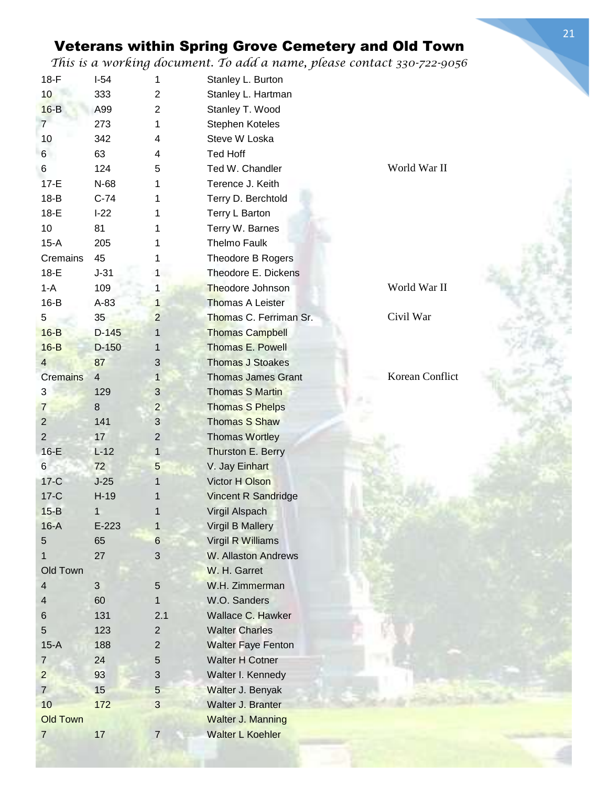| $18-F$          | $I-54$         | 1              | Stanley L. Burton          |                 |
|-----------------|----------------|----------------|----------------------------|-----------------|
| 10              | 333            | $\overline{2}$ | Stanley L. Hartman         |                 |
| $16-B$          | A99            | 2              | Stanley T. Wood            |                 |
| $\overline{7}$  | 273            | 1              | Stephen Koteles            |                 |
| 10              | 342            | 4              | Steve W Loska              |                 |
| 6 <sup>1</sup>  | 63             | 4              | Ted Hoff                   |                 |
| 6               | 124            | 5              | Ted W. Chandler            | World War II    |
| $17-E$          | N-68           | 1              | Terence J. Keith           |                 |
| $18-B$          | $C-74$         | 1              | Terry D. Berchtold         |                 |
| $18-E$          | $I-22$         | 1              | Terry L Barton             |                 |
| 10              | 81             | 1              | Terry W. Barnes            |                 |
| $15-A$          | 205            | 1              | Thelmo Faulk               |                 |
| Cremains        | 45             | 1              | Theodore B Rogers          |                 |
| $18-E$          | $J-31$         | 1              | Theodore E. Dickens        |                 |
| $1-A$           | 109            | 1              | <b>Theodore Johnson</b>    | World War II    |
| $16-B$          | $A-83$         | $\mathbf{1}$   | <b>Thomas A Leister</b>    |                 |
| 5               | 35             | $\overline{c}$ | Thomas C. Ferriman Sr.     | Civil War       |
| $16-B$          | $D-145$        | $\mathbf{1}$   | <b>Thomas Campbell</b>     |                 |
| $16-B$          | $D-150$        | 1              | <b>Thomas E. Powell</b>    |                 |
| $\overline{4}$  | 87             | 3              | <b>Thomas J Stoakes</b>    |                 |
| <b>Cremains</b> | $\overline{4}$ | $\mathbf{1}$   | <b>Thomas James Grant</b>  | Korean Conflict |
| $\sqrt{3}$      | 129            | $\mathbf{3}$   | <b>Thomas S Martin</b>     |                 |
| $\overline{7}$  | 8              | $\overline{c}$ | <b>Thomas S Phelps</b>     |                 |
| $\overline{2}$  | 141            | 3              | <b>Thomas S Shaw</b>       |                 |
| $\overline{2}$  | 17             | $\overline{c}$ | <b>Thomas Wortley</b>      |                 |
| $16-E$          | $L-12$         | $\mathbf{1}$   | Thurston E. Berry          |                 |
| $6\phantom{.}$  | 72             | 5              | V. Jay Einhart             |                 |
| $17-C$          | $J-25$         | 1              | Victor H Olson             |                 |
| $17-C$          | $H-19$         |                | <b>Vincent R Sandridge</b> |                 |
| $15-B$          | 1              |                | <b>Virgil Alspach</b>      |                 |
| $16-A$          | $E-223$        | 1              | <b>Virgil B Mallery</b>    |                 |
| 5               | 65             | $\,6$          | Virgil R Williams          |                 |
| 1               | 27             | 3              | W. Allaston Andrews        |                 |
| Old Town        |                |                | W. H. Garret               |                 |
| 4               | 3              | $\sqrt{5}$     | W.H. Zimmerman             |                 |
| 4               | 60             | 1              | W.O. Sanders               |                 |
| $\,6$           | 131            | 2.1            | Wallace C. Hawker          |                 |
| 5               | 123            | $\overline{2}$ | <b>Walter Charles</b>      |                 |
| $15-A$          | 188            | 2              | <b>Walter Faye Fenton</b>  |                 |
| $\overline{7}$  | 24             | $\sqrt{5}$     | <b>Walter H Cotner</b>     |                 |
| $\overline{c}$  | 93             | $\mathfrak{S}$ | Walter I. Kennedy          |                 |
| $7\overline{ }$ | 15             | 5              | Walter J. Benyak           |                 |
| 10              | 172            | 3              | Walter J. Branter          |                 |
| <b>Old Town</b> |                |                | <b>Walter J. Manning</b>   |                 |
| $\overline{7}$  | 17             | $\overline{7}$ | <b>Walter L Koehler</b>    |                 |
|                 |                |                |                            |                 |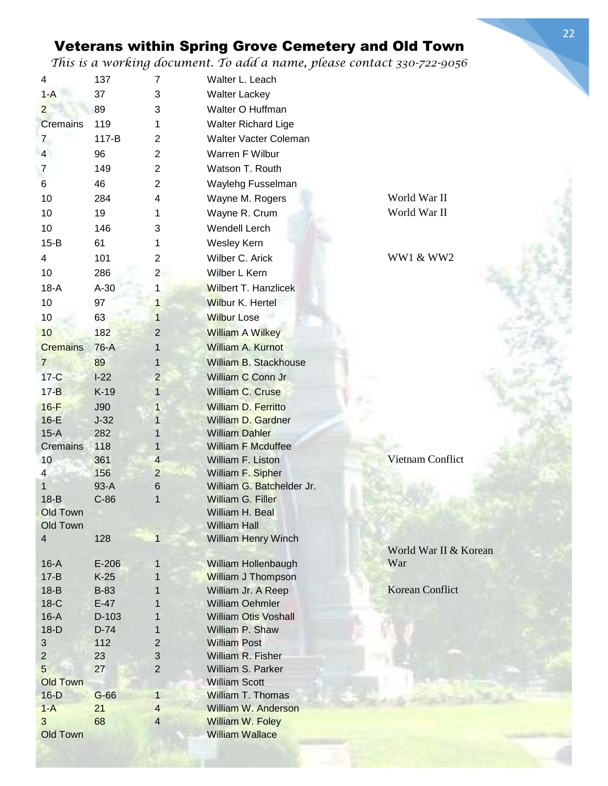*This is a working document. To add a name, please contact 330-722-9056*

| 4                    | 137         | $\overline{7}$ | Walter L. Leach                           |                       |
|----------------------|-------------|----------------|-------------------------------------------|-----------------------|
| $1 - A$              | 37          | 3              | <b>Walter Lackey</b>                      |                       |
| $\overline{2}$       | 89          | 3              | Walter O Huffman                          |                       |
| Cremains             | 119         | 1              | Walter Richard Lige                       |                       |
| $\overline{7}$       | 117-B       | $\overline{2}$ | Walter Vacter Coleman                     |                       |
| $\overline{4}$       | 96          | $\overline{2}$ | Warren F Wilbur                           |                       |
| 7                    | 149         | $\overline{2}$ | Watson T. Routh                           |                       |
| 6                    | 46          | $\overline{2}$ | Waylehg Fusselman                         |                       |
| 10                   | 284         | 4              | Wayne M. Rogers                           | World War II          |
| 10                   | 19          | 1              | Wayne R. Crum                             | World War II          |
|                      |             |                |                                           |                       |
| 10                   | 146         | 3              | Wendell Lerch                             |                       |
| $15-B$               | 61          | 1              | Wesley Kern                               |                       |
| $\overline{4}$       | 101         | 2              | Wilber C. Arick                           | <b>WW1 &amp; WW2</b>  |
| 10                   | 286         | $\overline{c}$ | Wilber L Kern                             |                       |
| $18-A$               | $A-30$      | 1              | <b>Wilbert T. Hanzlicek</b>               |                       |
| 10                   | 97          | $\mathbf{1}$   | <b>Wilbur K. Hertel</b>                   |                       |
| 10                   | 63          | $\mathbf 1$    | <b>Wilbur Lose</b>                        |                       |
| 10                   | 182         | $\overline{2}$ | <b>William A Wilkey</b>                   |                       |
| <b>Cremains</b>      | 76-A        | 1              | William A. Kurnot                         |                       |
| $\overline{7}$       | 89          | 1              | William B. Stackhouse                     |                       |
| $17-C$               | $I-22$      | $\overline{2}$ | William C Conn Jr                         |                       |
| $17 - B$             | $K-19$      | $\mathbf{1}$   | <b>William C. Cruse</b>                   |                       |
| $16-F$               | <b>J90</b>  | 1              | William D. Ferritto                       |                       |
| $16-E$               | $J-32$      | 1              | William D. Gardner                        |                       |
| $15-A$               | 282         |                | <b>William Dahler</b>                     |                       |
| Cremains             | 118         |                | <b>William F Mcduffee</b>                 |                       |
| 10                   | 361         | $\overline{4}$ | William F. Liston                         | Vietnam Conflict      |
| $\overline{4}$       | 156         | $\overline{2}$ | William F. Sipher                         |                       |
| 1                    | $93-A$      | 6              | William G. Batchelder Jr.                 |                       |
| $18-B$               | $C-86$      | 1              | William G. Filler                         |                       |
| Old Town             |             |                | William H. Beal                           |                       |
| <b>Old Town</b>      |             |                | <b>William Hall</b>                       |                       |
| 4                    | 128         | $\mathbf{1}$   | <b>William Henry Winch</b>                |                       |
|                      |             |                |                                           | World War II & Korean |
| $16-A$               | $E-206$     | 1              | William Hollenbaugh                       | War                   |
| $17 - B$             | $K-25$      | 1              | <b>William J Thompson</b>                 |                       |
| $18-B$               | <b>B-83</b> |                | William Jr. A Reep                        | Korean Conflict       |
| $18-C$               | $E-47$      |                | <b>William Oehmler</b>                    |                       |
| $16-A$               | D-103       |                | <b>William Otis Voshall</b>               |                       |
| $18-D$               | $D-74$      | 1              | William P. Shaw                           |                       |
| 3                    | 112         | 2              | <b>William Post</b>                       |                       |
| $\overline{2}$       | 23          | 3              | William R. Fisher                         |                       |
| 5<br><b>Old Town</b> | 27          | $\overline{2}$ | William S. Parker<br><b>William Scott</b> |                       |
| $16-D$               | $G-66$      | $\mathbf{1}$   | William T. Thomas                         |                       |
| $1 - A$              | 21          | $\overline{4}$ | <b>William W. Anderson</b>                |                       |
| 3                    | 68          | $\overline{4}$ | William W. Foley                          |                       |
| <b>Old Town</b>      |             |                | <b>William Wallace</b>                    |                       |
|                      |             |                |                                           |                       |